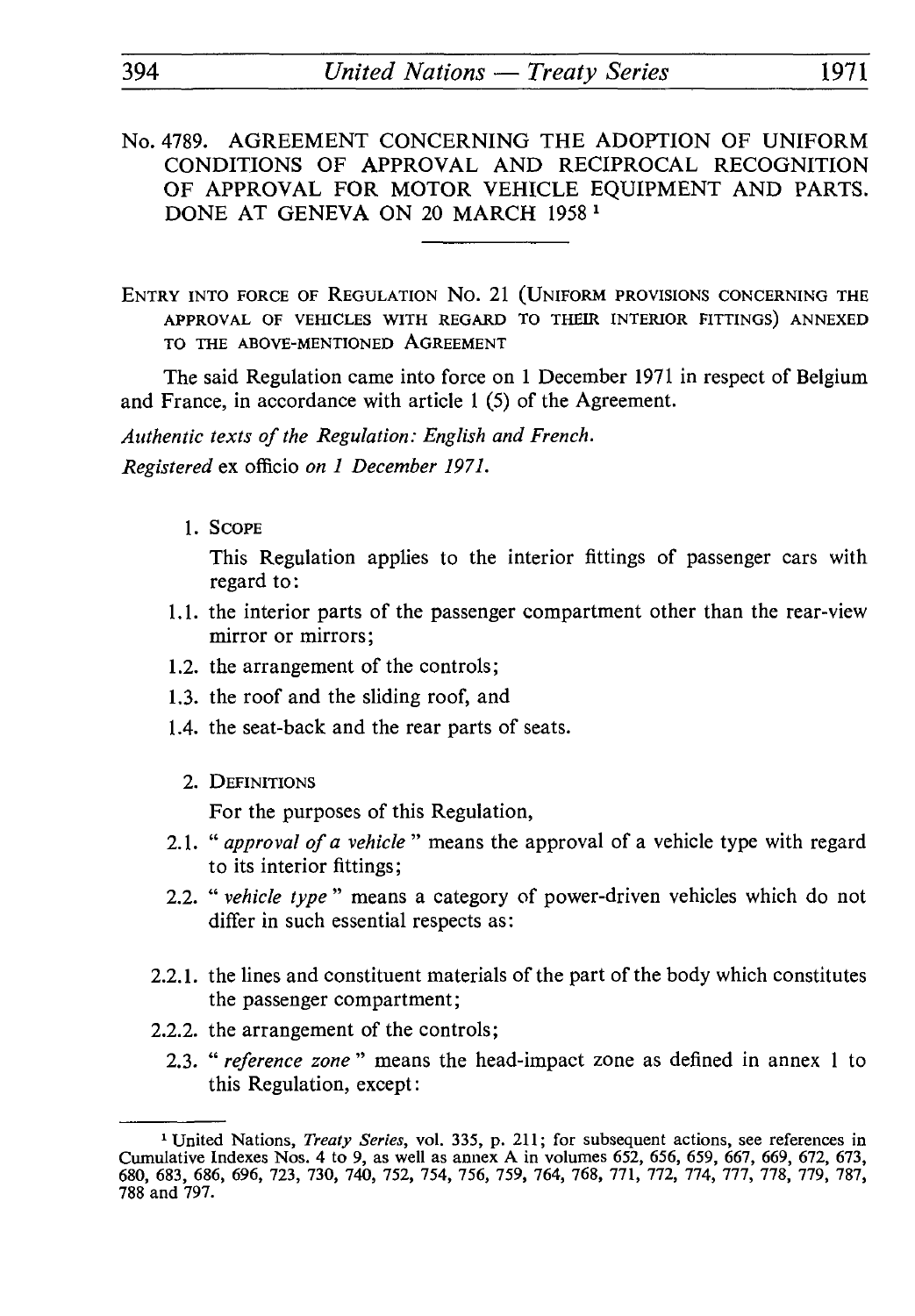- No. 4789. AGREEMENT CONCERNING THE ADOPTION OF UNIFORM CONDITIONS OF APPROVAL AND RECIPROCAL RECOGNITION OF APPROVAL FOR MOTOR VEHICLE EQUIPMENT AND PARTS. DONE AT GENEVA ON 20 MARCH 1958 *<sup>1</sup>*
- ENTRY INTO FORCE OF REGULATION No. 21 (UNIFORM PROVISIONS CONCERNING THE APPROVAL OF VEHICLES WITH REGARD TO THEIR INTERIOR FITTINGS) ANNEXED TO THE ABOVE-MENTIONED AGREEMENT

The said Regulation came into force on 1 December 1971 in respect of Belgium and France, in accordance with article 1 (5) of the Agreement.

*Authentic texts of the Regulation: English and French. Registered* ex officio *on 1 December 1971.*

1. SCOPE

This Regulation applies to the interior fittings of passenger cars with regard to :

- 1.1. the interior parts of the passenger compartment other than the rear-view mirror or mirrors;
- 1.2. the arrangement of the controls;
- 1.3. the roof and the sliding roof, and
- 1.4. the seat-back and the rear parts of seats.
	- 2. DEFINITIONS

For the purposes of this Regulation,

- 2.1. " *approval of a vehicle* " means the approval of a vehicle type with regard to its interior fittings;
- 2.2. " *vehicle type* " means a category of power-driven vehicles which do not differ in such essential respects as:
- 2.2.1. the lines and constituent materials of the part of the body which constitutes the passenger compartment;
- 2.2.2. the arrangement of the controls;
	- 2.3. " *reference zone* " means the head-impact zone as defined in annex 1 to this Regulation, except:

<sup>1</sup> United Nations, *Treaty Series,* vol. 335, p. 211; for subsequent actions, see references in Cumulative Indexes Nos. 4 to 9, as well as annex A in volumes 652, 656, 659, 667, 669, 672, 673, 680, 683, 686, 696, 723, 730, 740, 752, 754, 756, 759, 764, 768, 771, 772, 774, 777, 778, 779, 787, 788 and 797.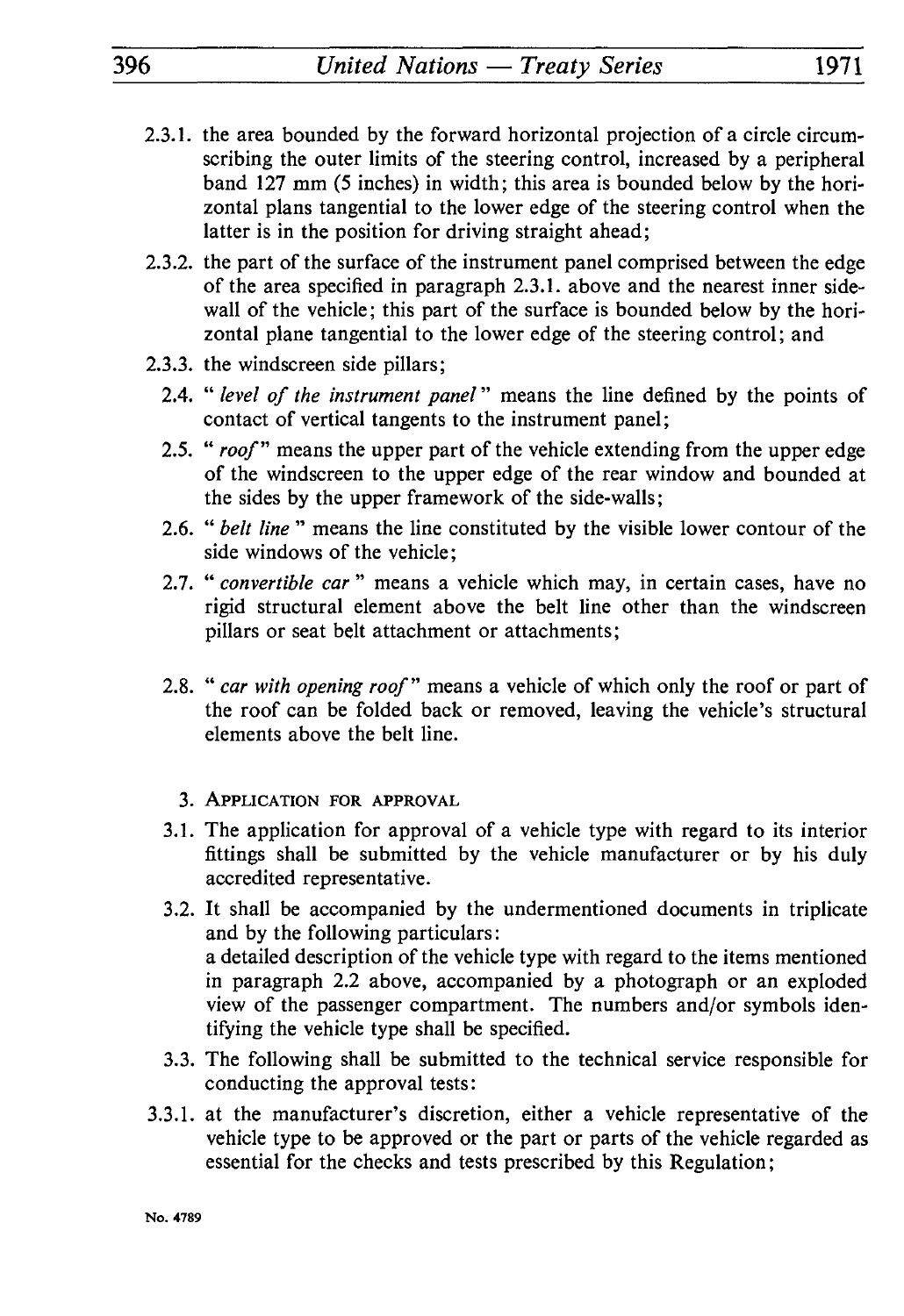- 2.3.1. the area bounded by the forward horizontal projection of a circle circum scribing the outer limits of the steering control, increased by a peripheral band 127 mm (5 inches) in width; this area is bounded below by the hori zontal plans tangential to the lower edge of the steering control when the latter is in the position for driving straight ahead;
- 2.3.2. the part of the surface of the instrument panel comprised between the edge of the area specified in paragraph 2.3.1. above and the nearest inner sidewall of the vehicle; this part of the surface is bounded below by the hori zontal plane tangential to the lower edge of the steering control; and
- 2.3.3. the windscreen side pillars;
	- 2.4. " *level of the instrument panel* " means the line defined by the points of contact of vertical tangents to the instrument panel;
	- 2.5. " *roof"* means the upper part of the vehicle extending from the upper edge of the windscreen to the upper edge of the rear window and bounded at the sides by the upper framework of the side-walls ;
	- 2.6. " *belt line* " means the line constituted by the visible lower contour of the side windows of the vehicle;
	- 2.7. " *convertible car* " means a vehicle which may, in certain cases, have no rigid structural element above the belt line other than the windscreen pillars or seat belt attachment or attachments;
	- 2.8. " *car with opening roof"* means a vehicle of which only the roof or part of the roof can be folded back or removed, leaving the vehicle's structural elements above the belt line.
		- 3. APPLICATION FOR APPROVAL
	- 3.1. The application for approval of a vehicle type with regard to its interior fittings shall be submitted by the vehicle manufacturer or by his duly accredited representative.
	- 3.2. It shall be accompanied by the undermentioned documents in triplicate and by the following particulars : a detailed description of the vehicle type with regard to the items mentioned in paragraph 2.2 above, accompanied by a photograph or an exploded view of the passenger compartment. The numbers and/or symbols iden tifying the vehicle type shall be specified.
	- 3.3. The following shall be submitted to the technical service responsible for conducting the approval tests :
- 3.3.1. at the manufacturer's discretion, either a vehicle representative of the vehicle type to be approved or the part or parts of the vehicle regarded as essential for the checks and tests prescribed by this Regulation;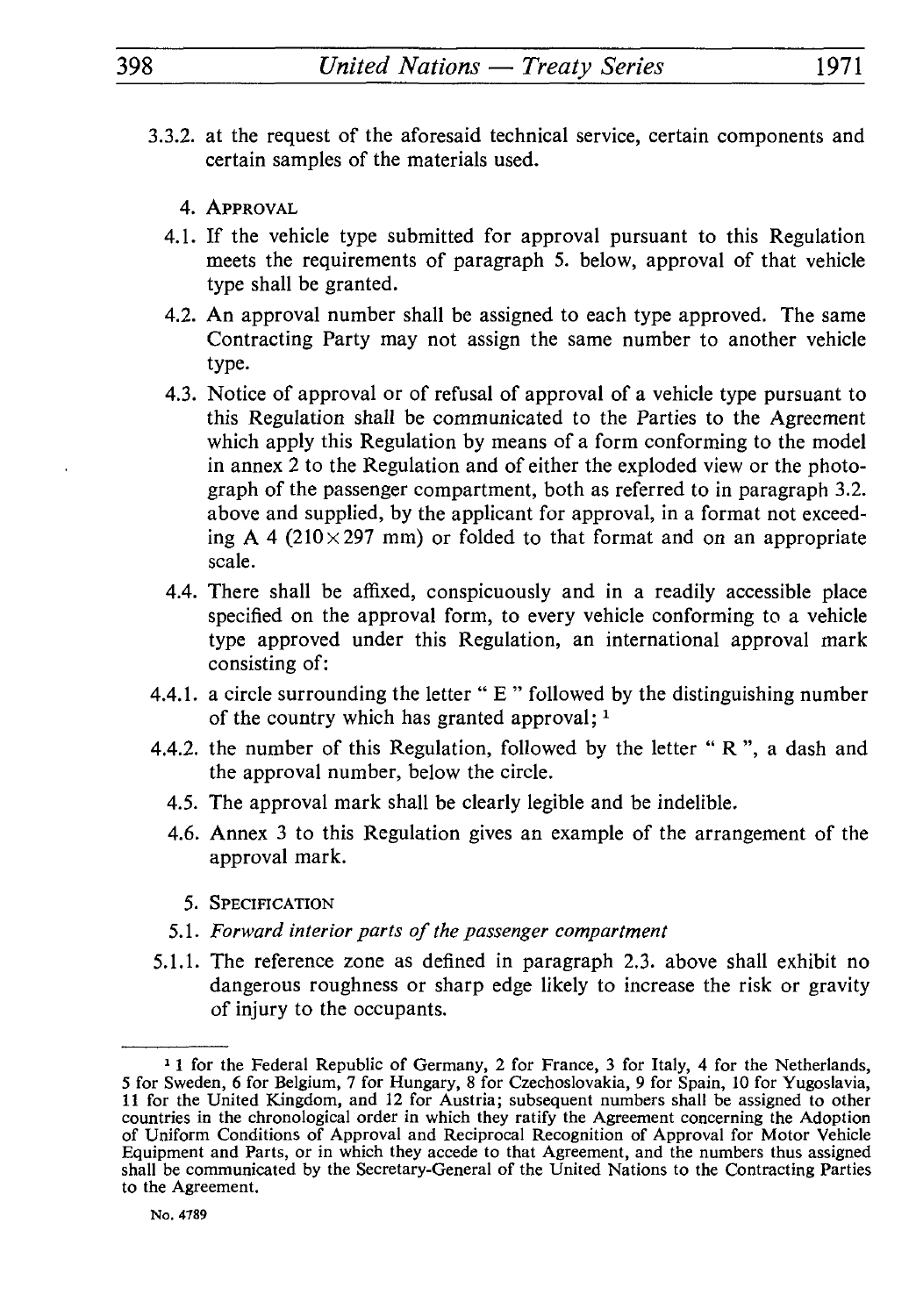- 3.3.2. at the request of the aforesaid technical service, certain components and certain samples of the materials used.
	- 4. APPROVAL
	- 4.1. If the vehicle type submitted for approval pursuant to this Regulation meets the requirements of paragraph 5. below, approval of that vehicle type shall be granted.
	- 4.2. An approval number shall be assigned to each type approved. The same Contracting Party may not assign the same number to another vehicle type.
	- 4.3. Notice of approval or of refusal of approval of a vehicle type pursuant to this Regulation shall be communicated to the Parties to the Agreement which apply this Regulation by means of a form conforming to the model in annex 2 to the Regulation and of either the exploded view or the photo graph of the passenger compartment, both as referred to in paragraph 3.2. above and supplied, by the applicant for approval, in a format not exceed ing A 4 (210 $\times$ 297 mm) or folded to that format and on an appropriate scale.
	- 4.4. There shall be affixed, conspicuously and in a readily accessible place specified on the approval form, to every vehicle conforming to a vehicle type approved under this Regulation, an international approval mark consisting of:
- 4.4.1. a circle surrounding the letter "  $E$  " followed by the distinguishing number of the country which has granted approval;  $<sup>1</sup>$ </sup>
- 4.4.2. the number of this Regulation, followed by the letter " R ", a dash and the approval number, below the circle.
	- 4.5. The approval mark shall be clearly legible and be indelible.
	- 4.6. Annex 3 to this Regulation gives an example of the arrangement of the approval mark.
		- 5. SPECIFICATION
	- 5.1. *Forward interior parts of the passenger compartment*
- 5.1.1. The reference zone as defined in paragraph 2.3. above shall exhibit no dangerous roughness or sharp edge likely to increase the risk or gravity of injury to the occupants.

<sup>&</sup>lt;sup>1</sup> 1 for the Federal Republic of Germany, 2 for France, 3 for Italy, 4 for the Netherlands, 5 for Sweden, 6 for Belgium, 7 for Hungary, 8 for Czechoslovakia, 9 for Spain, 10 for Yugoslavia, 11 for the United Kingdom, and 12 for Austria; subsequent numbers shall be assigned to other countries in the chronological order in which they ratify the Agreement concerning the Adoption of Uniform Conditions of Approval and Reciprocal Recognition of Approval for Motor Vehicle Equipment and Parts, or in which they accede to that Agreement, and the numbers thus assigned shall be communicated by the Secretary-General of the United Nations to the Contracting Parties to the Agreement.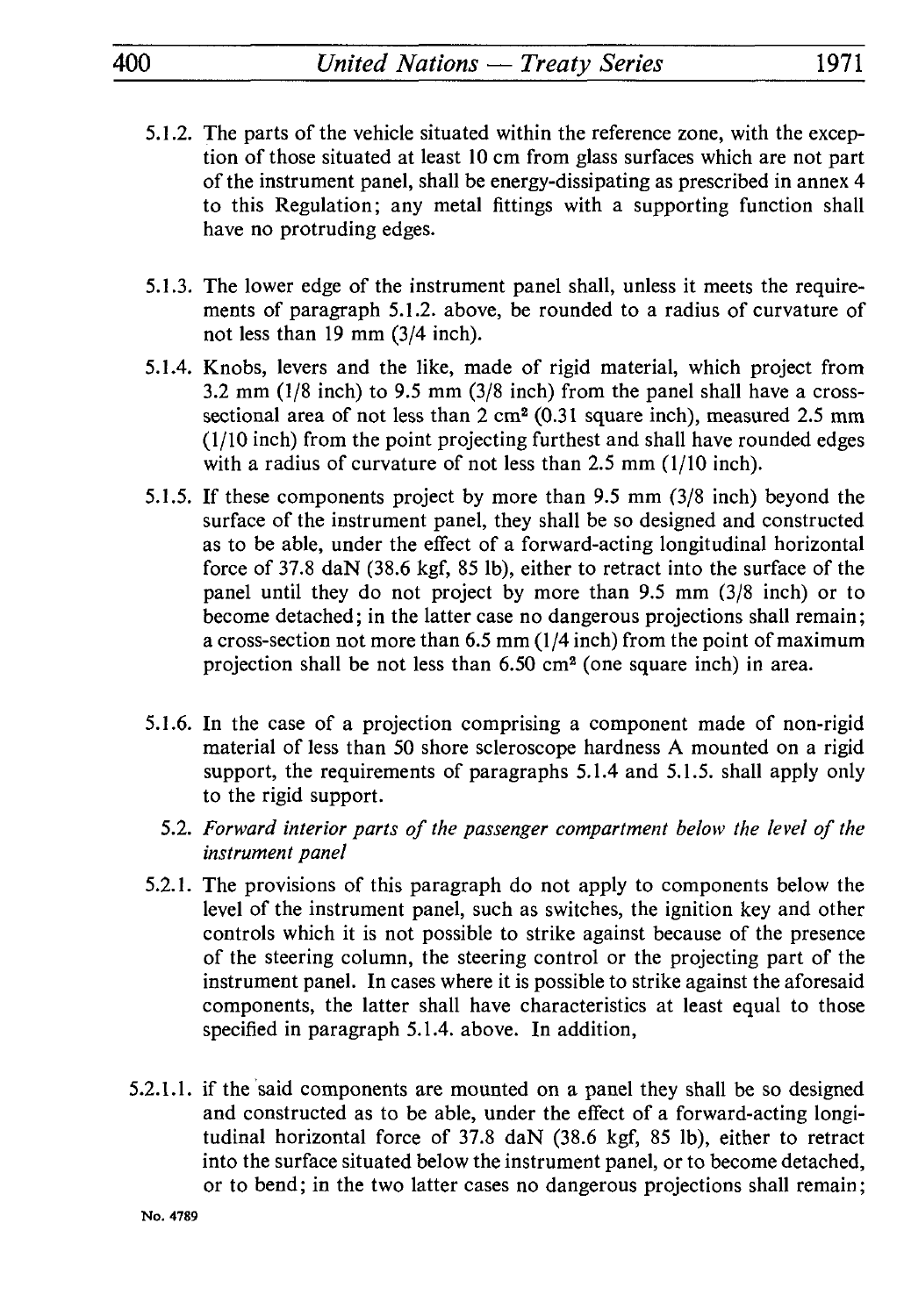- 5.1.2. The parts of the vehicle situated within the reference zone, with the excep tion of those situated at least 10 cm from glass surfaces which are not part of the instrument panel, shall be energy-dissipating as prescribed in annex 4 to this Regulation; any metal fittings with a supporting function shall have no protruding edges.
- 5.1.3. The lower edge of the instrument panel shall, unless it meets the require ments of paragraph 5.1.2. above, be rounded to a radius of curvature of not less than 19 mm (3/4 inch).
- 5.1.4. Knobs, levers and the like, made of rigid material, which project from 3.2 mm (1/8 inch) to 9.5 mm (3/8 inch) from the panel shall have a crosssectional area of not less than 2 cm<sup>2</sup> (0.31 square inch), measured 2.5 mm (1/10 inch) from the point projecting furthest and shall have rounded edges with a radius of curvature of not less than 2.5 mm (1/10 inch).
- 5.1.5. If these components project by more than 9.5 mm (3/8 inch) beyond the surface of the instrument panel, they shall be so designed and constructed as to be able, under the effect of a forward-acting longitudinal horizontal force of 37.8 daN (38.6 kgf, 85 Ib), either to retract into the surface of the panel until they do not project by more than 9.5 mm (3/8 inch) or to become detached; in the latter case no dangerous projections shall remain; a cross-section not more than 6.5 mm (1/4 inch) from the point of maximum projection shall be not less than 6.50 cm2 (one square inch) in area.
- 5.1.6. In the case of a projection comprising a component made of non-rigid material of less than 50 shore scleroscope hardness A mounted on a rigid support, the requirements of paragraphs 5.1.4 and 5.1.5. shall apply only to the rigid support.
	- 5.2. *Forward interior parts of the passenger compartment below the level of the instrument panel*
- 5.2.1. The provisions of this paragraph do not apply to components below the level of the instrument panel, such as switches, the ignition key and other controls which it is not possible to strike against because of the presence of the steering column, the steering control or the projecting part of the instrument panel. In cases where it is possible to strike against the aforesaid components, the latter shall have characteristics at least equal to those specified in paragraph 5.1.4. above. In addition,
- 5.2.1.1. if the said components are mounted on a panel they shall be so designed and constructed as to be able, under the effect of a forward-acting longi tudinal horizontal force of 37.8 daN (38.6 kgf, 85 Ib), either to retract into the surface situated below the instrument panel, or to become detached, or to bend; in the two latter cases no dangerous projections shall remain;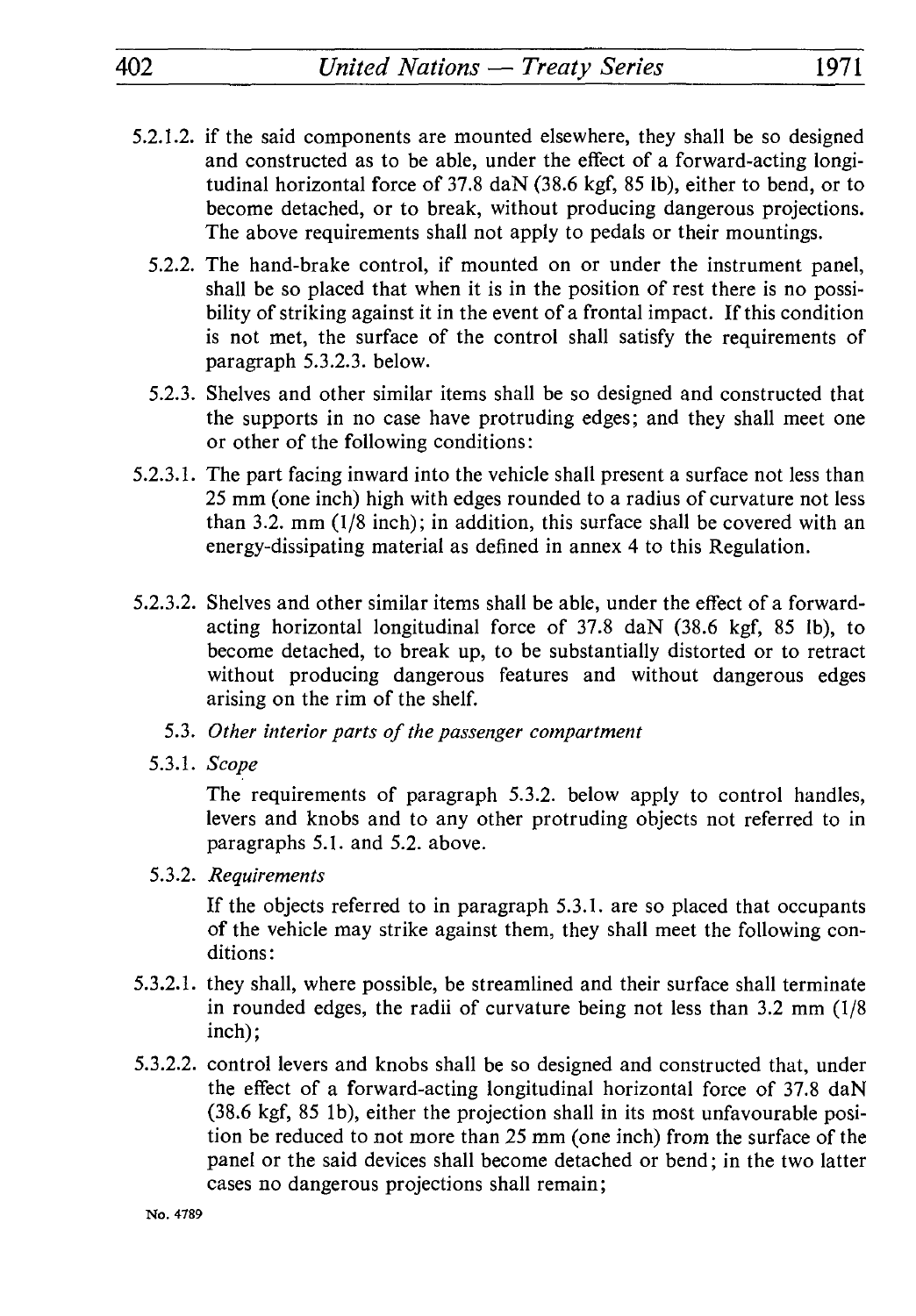- 5.2.1.2. if the said components are mounted elsewhere, they shall be so designed and constructed as to be able, under the effect of a forward-acting longi tudinal horizontal force of 37.8 daN (38.6 kgf, 85 Ib), either to bend, or to become detached, or to break, without producing dangerous projections. The above requirements shall not apply to pedals or their mountings.
	- 5.2.2. The hand-brake control, if mounted on or under the instrument panel, shall be so placed that when it is in the position of rest there is no possi bility of striking against it in the event of a frontal impact. If this condition is not met, the surface of the control shall satisfy the requirements of paragraph 5.3.2.3. below.
	- 5.2.3. Shelves and other similar items shall be so designed and constructed that the supports in no case have protruding edges; and they shall meet one or other of the following conditions :
- 5.2.3.1. The part facing inward into the vehicle shall present a surface not less than 25 mm (one inch) high with edges rounded to a radius of curvature not less than 3.2. mm (1/8 inch); in addition, this surface shall be covered with an energy-dissipating material as defined in annex 4 to this Regulation.
- 5.2.3.2. Shelves and other similar items shall be able, under the effect of a forwardacting horizontal longitudinal force of 37.8 daN (38.6 kgf, 85 Ib), to become detached, to break up, to be substantially distorted or to retract without producing dangerous features and without dangerous edges arising on the rim of the shelf.
	- 5.3. *Other interior parts of the passenger compartment*
	- 5.3.1. *Scope*

The requirements of paragraph 5.3.2. below apply to control handles, levers and knobs and to any other protruding objects not referred to in paragraphs 5.1. and 5.2. above.

5.3.2. *Requirements*

If the objects referred to in paragraph 5.3.1. are so placed that occupants of the vehicle may strike against them, they shall meet the following con ditions:

- 5.3.2.1. they shall, where possible, be streamlined and their surface shall terminate in rounded edges, the radii of curvature being not less than 3.2 mm (1/8 inch);
- 5.3.2.2. control levers and knobs shall be so designed and constructed that, under the effect of a forward-acting longitudinal horizontal force of 37.8 daN (38.6 kgf, 85 Ib), either the projection shall in its most unfavourable posi tion be reduced to not more than 25 mm (one inch) from the surface of the panel or the said devices shall become detached or bend ; in the two latter cases no dangerous projections shall remain ;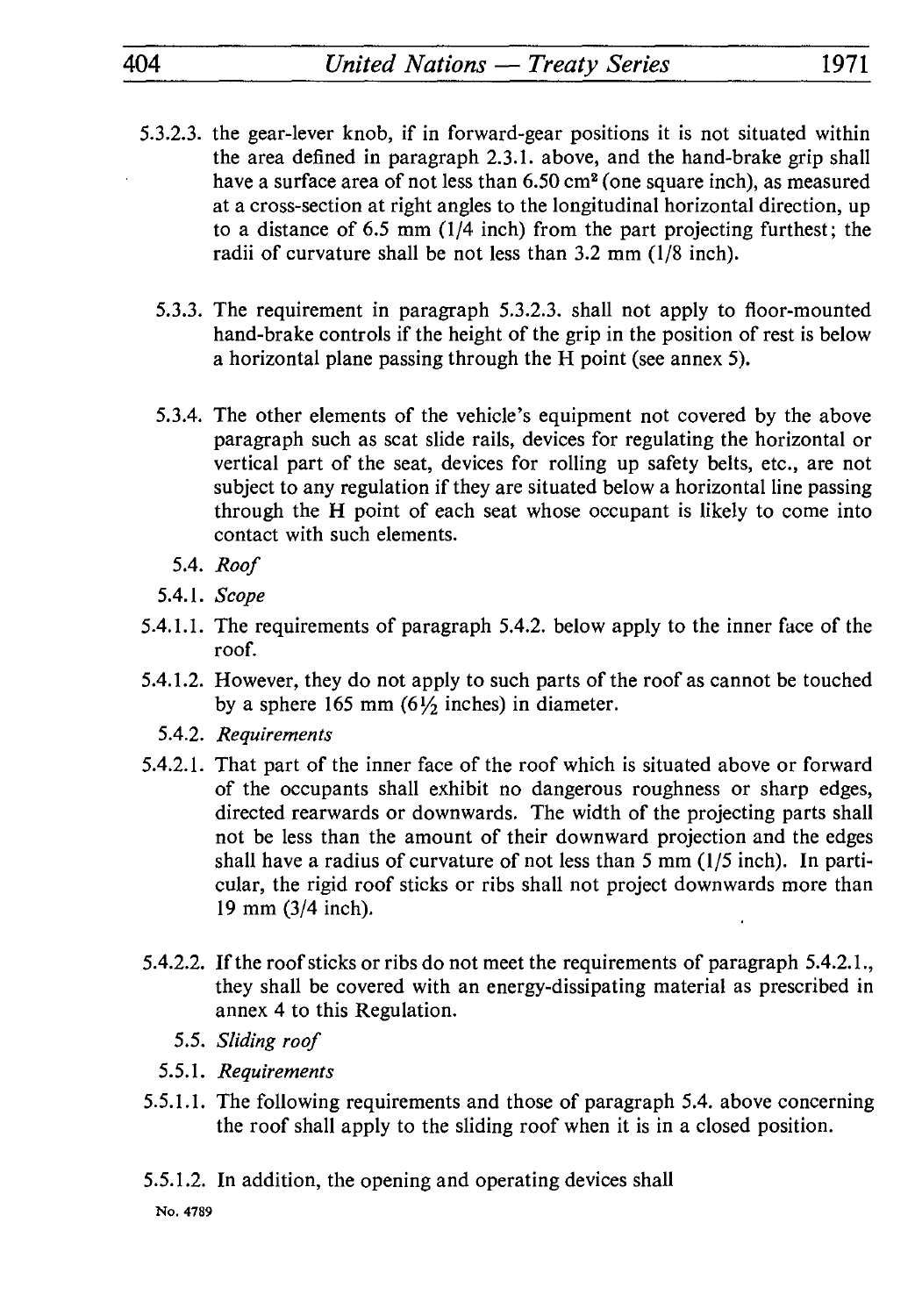# 404\_\_\_\_\_\_\_\_*United Nations Treaty Series*\_\_\_\_\_\_\_\_1971

- 5.3.2.3. the gear-lever knob, if in forward-gear positions it is not situated within the area defined in paragraph 2.3.1. above, and the hand-brake grip shall have a surface area of not less than 6.50 cm<sup>2</sup> (one square inch), as measured at a cross-section at right angles to the longitudinal horizontal direction, up to a distance of 6.5 mm (1/4 inch) from the part projecting furthest; the radii of curvature shall be not less than 3.2 mm (1/8 inch).
	- 5.3.3. The requirement in paragraph 5.3.2.3. shall not apply to floor-mounted hand-brake controls if the height of the grip in the position of rest is below a horizontal plane passing through the H point (see annex 5).
	- 5.3.4. The other elements of the vehicle's equipment not covered by the above paragraph such as scat slide rails, devices for regulating the horizontal or vertical part of the seat, devices for rolling up safety belts, etc., are not subject to any regulation if they are situated below a horizontal line passing through the H point of each seat whose occupant is likely to come into contact with such elements.
		- 5.4. *Roof*
	- 5.4.1. *Scope*
- 5.4.1.1. The requirements of paragraph 5.4.2. below apply to the inner face of the roof.
- 5.4.1.2. However, they do not apply to such parts of the roof as cannot be touched by a sphere 165 mm  $(6\frac{1}{2})$  inches) in diameter.
	- 5.4.2. *Requirements*
- 5.4.2.1. That part of the inner face of the roof which is situated above or forward of the occupants shall exhibit no dangerous roughness or sharp edges, directed rearwards or downwards. The width of the projecting parts shall not be less than the amount of their downward projection and the edges shall have a radius of curvature of not less than 5 mm (1/5 inch). In parti cular, the rigid roof sticks or ribs shall not project downwards more than 19 mm (3/4 inch).
- 5.4.2.2. If the roof sticks or ribs do not meet the requirements of paragraph 5.4.2.1., they shall be covered with an energy-dissipating material as prescribed in annex 4 to this Regulation.
	- 5.5. *Sliding roof*
	- 5.5.1. *Requirements*
- 5.5.1.1. The following requirements and those of paragraph 5.4. above concerning the roof shall apply to the sliding roof when it is in a closed position.
- 5.5.1.2. In addition, the opening and operating devices shall

**No. 4789**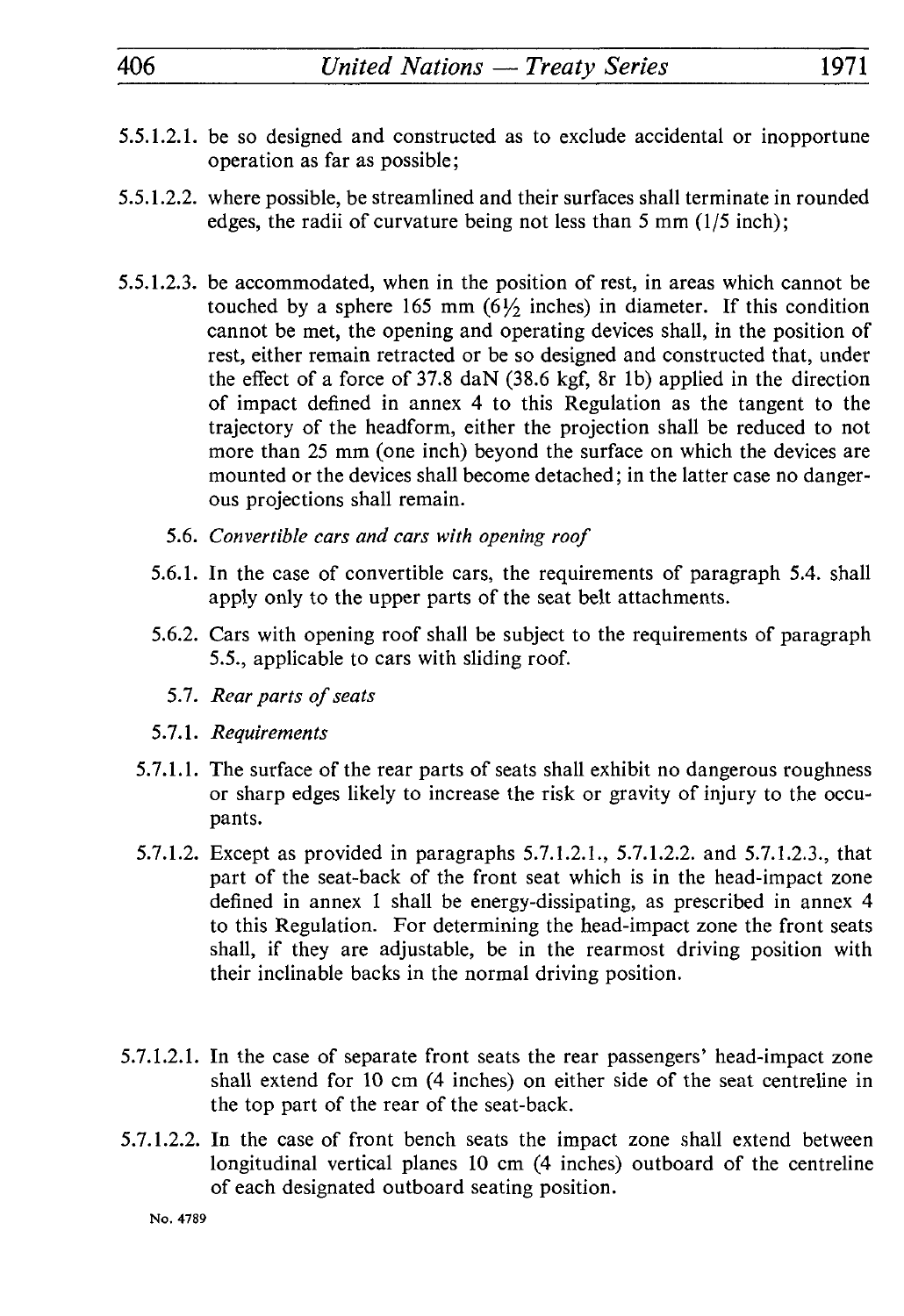# 406 *United Nations — Treaty Series* 1971

- 5.5.1.2.1. be so designed and constructed as to exclude accidental or inopportune operation as far as possible;
- 5.5.1.2.2. where possible, be streamlined and their surfaces shall terminate in rounded edges, the radii of curvature being not less than 5 mm (1/5 inch);
- 5.5.1.2.3. be accommodated, when in the position of rest, in areas which cannot be touched by a sphere 165 mm  $(6\frac{1}{2})$  inches) in diameter. If this condition cannot be met, the opening and operating devices shall, in the position of rest, either remain retracted or be so designed and constructed that, under the effect of a force of 37.8 daN (38.6 kgf, 8r Ib) applied in the direction of impact defined in annex 4 to this Regulation as the tangent to the trajectory of the headform, either the projection shall be reduced to not more than 25 mm (one inch) beyond the surface on which the devices are mounted or the devices shall become detached ; in the latter case no danger ous projections shall remain.
	- 5.6. *Convertible cars and cars with opening roof*
	- 5.6.1. In the case of convertible cars, the requirements of paragraph 5.4. shall apply only to the upper parts of the seat belt attachments.
	- 5.6.2. Cars with opening roof shall be subject to the requirements of paragraph 5.5., applicable to cars with sliding roof.
		- 5.7. *Rear parts of seats*
	- 5.7.1. *Requirements*
	- 5.7.1.1. The surface of the rear parts of seats shall exhibit no dangerous roughness or sharp edges likely to increase the risk or gravity of injury to the occu pants.
	- 5.7.1.2. Except as provided in paragraphs 5.7.1.2.1., 5.7.1.2.2. and 5.7.1.2.3., that part of the seat-back of the front seat which is in the head-impact zone defined in annex 1 shall be energy-dissipating, as prescribed in annex 4 to this Regulation. For determining the head-impact zone the front seats shall, if they are adjustable, be in the rearmost driving position with their inclinable backs in the normal driving position.
- 5.7.1.2.1. In the case of separate front seats the rear passengers' head-impact zone shall extend for 10 cm (4 inches) on either side of the seat centreline in the top part of the rear of the seat-back.
- 5.7.1.2.2. In the case of front bench seats the impact zone shall extend between longitudinal vertical planes 10 cm (4 inches) outboard of the centreline of each designated outboard seating position.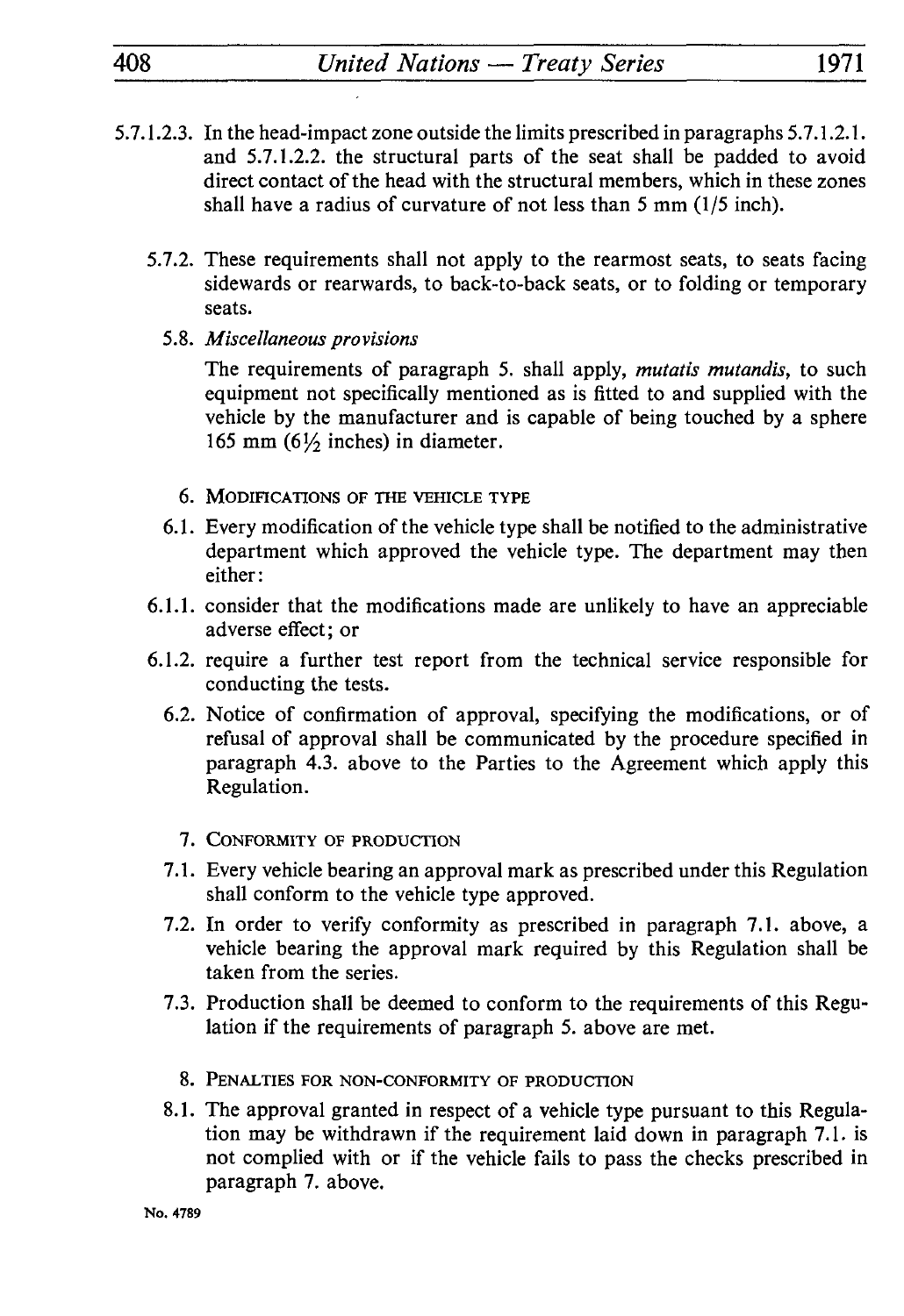- 5.7.1.2.3. In the head-impact zone outside the limits prescribed in paragraphs 5.7. *1.2.1.*  and 5.7.1.2.2. the structural parts of the seat shall be padded to avoid direct contact of the head with the structural members, which in these zones shall have a radius of curvature of not less than 5 mm (1/5 inch).
	- 5.7.2. These requirements shall not apply to the rearmost seats, to seats facing sidewards or rearwards, to back-to-back seats, or to folding or temporary seats.
		- 5.8. *Miscellaneous provisions*

The requirements of paragraph 5. shall apply, *mutatis mutandis,* to such equipment not specifically mentioned as is fitted to and supplied with the vehicle by the manufacturer and is capable of being touched by a sphere 165 mm  $(6\frac{1}{2})$  inches) in diameter.

- 6. MODIFICATIONS OF THE VEHICLE TYPE
- 6.1. Every modification of the vehicle type shall be notified to the administrative department which approved the vehicle type. The department may then either:
- 6.1.1. consider that the modifications made are unlikely to have an appreciable adverse effect; or
- 6.1.2. require a further test report from the technical service responsible for conducting the tests.
	- 6.2. Notice of confirmation of approval, specifying the modifications, or of refusal of approval shall be communicated by the procedure specified in paragraph 4.3. above to the Parties to the Agreement which apply this Regulation.
		- 7. CONFORMITY OF PRODUCTION
	- 7.1. Every vehicle bearing an approval mark as prescribed under this Regulation shall conform to the vehicle type approved.
	- 7.2. In order to verify conformity as prescribed in paragraph 7.1. above, a vehicle bearing the approval mark required by this Regulation shall be taken from the series.
	- 7.3. Production shall be deemed to conform to the requirements of this Regu lation if the requirements of paragraph 5. above are met.
		- 8. PENALTIES FOR NON-CONFORMITY OF PRODUCTION
	- 8.1. The approval granted in respect of a vehicle type pursuant to this Regula tion may be withdrawn if the requirement laid down in paragraph 7.1. is not complied with or if the vehicle fails to pass the checks prescribed in paragraph 7. above.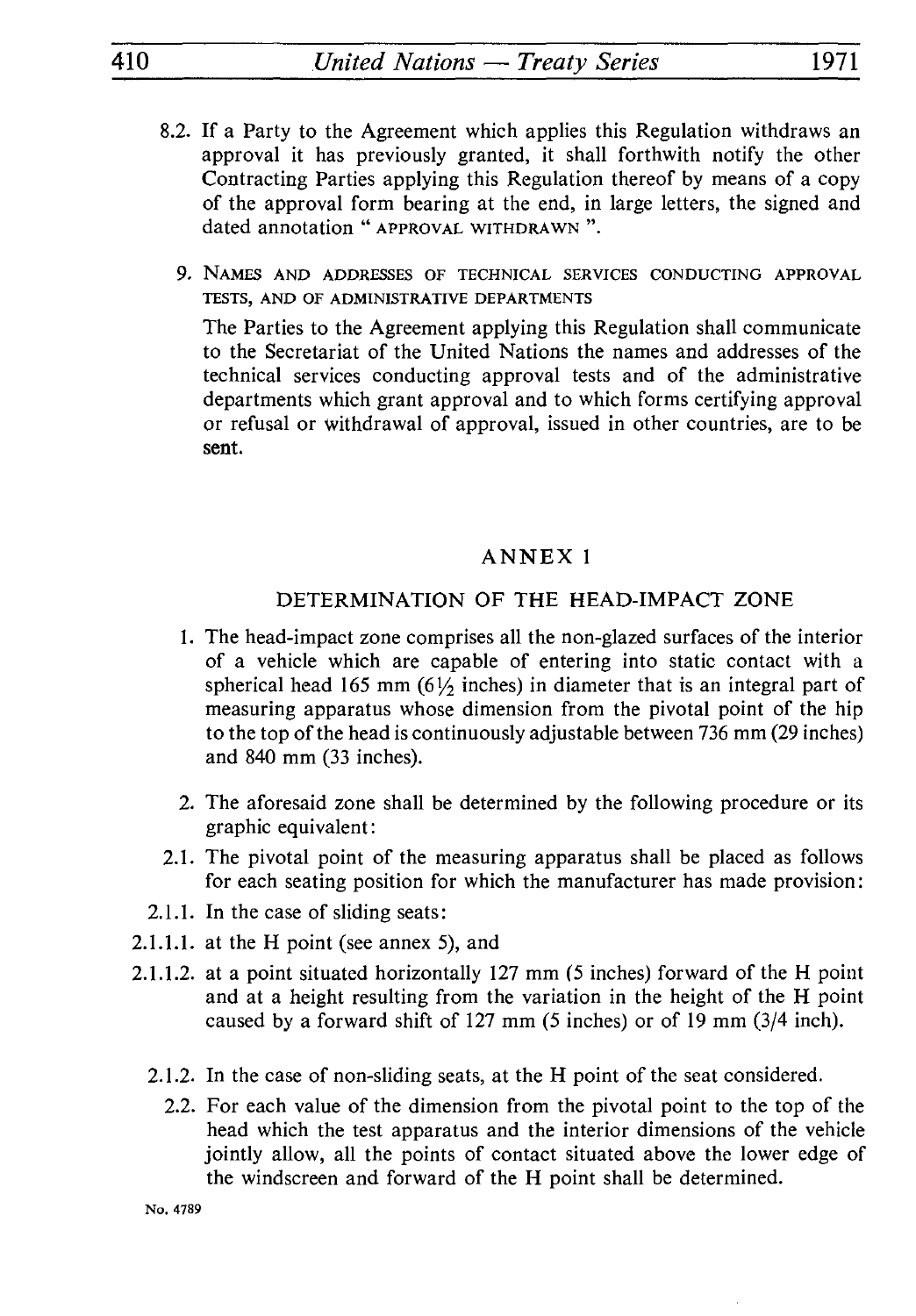- 1.2. If a Party to the Agreement which applies this Regulation withdraws an approval it has previously granted, it shall forthwith notify the other Contracting Parties applying this Regulation thereof by means of a copy of the approval form bearing at the end, in large letters, the signed and dated annotation " APPROVAL WITHDRAWN ".
	- 9. NAMES AND ADDRESSES OF TECHNICAL SERVICES CONDUCTING APPROVAL TESTS, AND OF ADMINISTRATIVE DEPARTMENTS

The Parties to the Agreement applying this Regulation shall communicate to the Secretariat of the United Nations the names and addresses of the technical services conducting approval tests and of the administrative departments which grant approval and to which forms certifying approval or refusal or withdrawal of approval, issued in other countries, are to be sent.

## ANNEX 1

#### DETERMINATION OF THE HEAD-IMPACT ZONE

- 1. The head-impact zone comprises all the non-glazed surfaces of the interior of a vehicle which are capable of entering into static contact with a spherical head 165 mm  $(6\frac{1}{2})$  inches) in diameter that is an integral part of measuring apparatus whose dimension from the pivotal point of the hip to the top of the head is continuously adjustable between 736 mm (29 inches) and 840 mm (33 inches).
- 2. The aforesaid zone shall be determined by the following procedure or its graphic equivalent :
- 2.1. The pivotal point of the measuring apparatus shall be placed as follows for each seating position for which the manufacturer has made provision :
- 2.1.1. In the case of sliding seats:
- 2.1.1.1. at the H point (see annex 5), and
- 2.1.1.2. at a point situated horizontally 127 mm (5 inches) forward of the H point and at a height resulting from the variation in the height of the H point caused by a forward shift of 127 mm (5 inches) or of 19 mm (3/4 inch).
	- 2.1.2. In the case of non-sliding seats, at the H point of the seat considered.
		- 2.2. For each value of the dimension from the pivotal point to the top of the head which the test apparatus and the interior dimensions of the vehicle jointly allow, all the points of contact situated above the lower edge of the windscreen and forward of the H point shall be determined.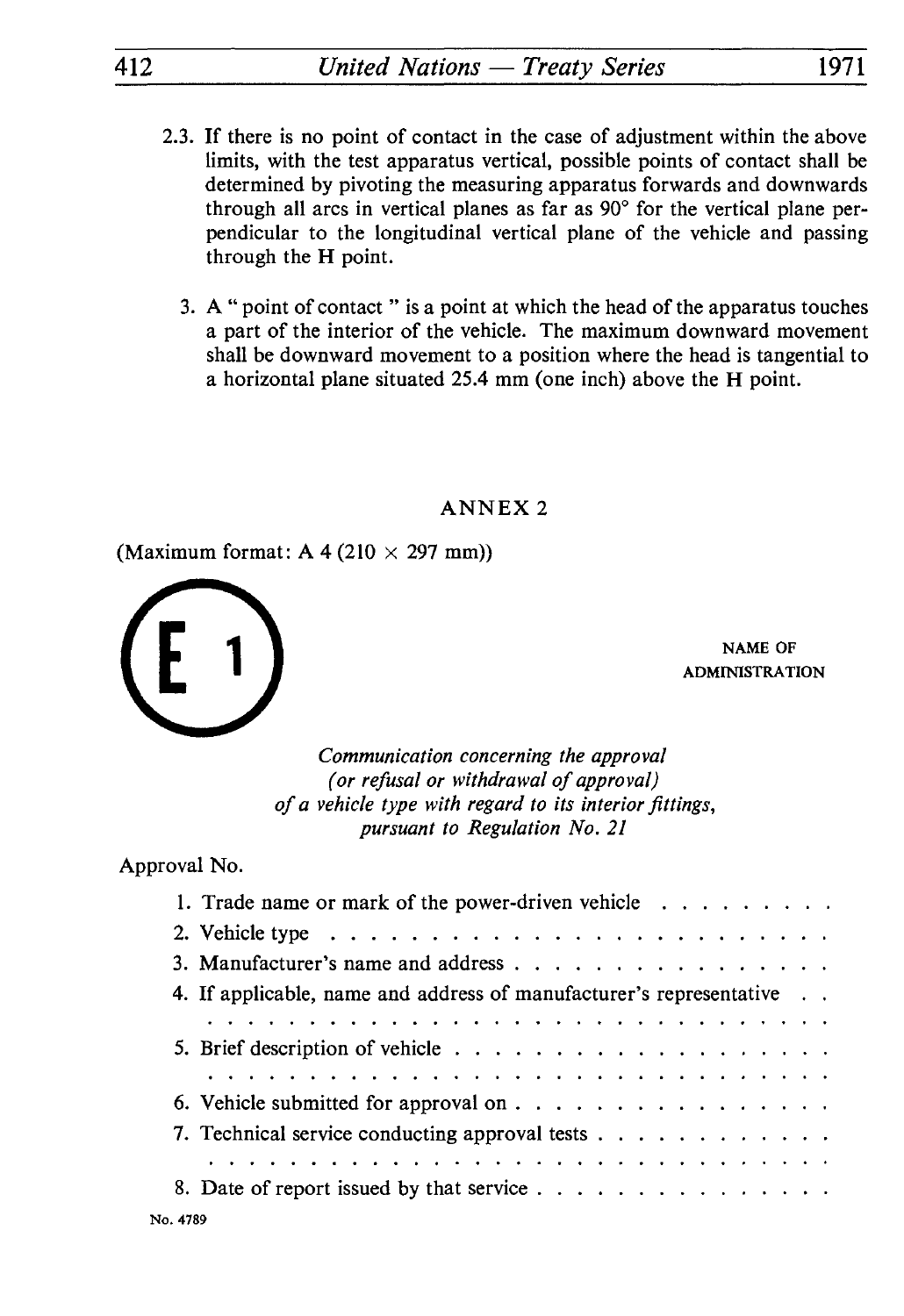- 2.3. If there is no point of contact in the case of adjustment within the above limits, with the test apparatus vertical, possible points of contact shall be determined by pivoting the measuring apparatus forwards and downwards through all arcs in vertical planes as far as  $90^{\circ}$  for the vertical plane perpendicular to the longitudinal vertical plane of the vehicle and passing through the H point.
	- 3. A " point of contact " is a point at which the head of the apparatus touches a part of the interior of the vehicle. The maximum downward movement shall be downward movement to a position where the head is tangential to a horizontal plane situated 25.4 mm (one inch) above the H point.

(Maximum format: A 4 (210  $\times$  297 mm))



NAME OF ADMINISTRATION

*Communication concerning the approval (or refusal or withdrawal of approval) of a vehicle type with regard to its interior fittings, pursuant to Regulation No. 21*

Approval No.

| oval No.                                                                                                        |  |
|-----------------------------------------------------------------------------------------------------------------|--|
| 1. Trade name or mark of the power-driven vehicle $\dots \dots \dots$                                           |  |
|                                                                                                                 |  |
| 3. Manufacturer's name and address                                                                              |  |
| 4. If applicable, name and address of manufacturer's representative                                             |  |
| المتالف المتالم المتالف المتالف المتالف المتالف المتالف المتالف المتالف المتالف المتالف المتالف المتالف المتالف |  |
|                                                                                                                 |  |
|                                                                                                                 |  |
|                                                                                                                 |  |
| 7. Technical service conducting approval tests                                                                  |  |
|                                                                                                                 |  |
| 8. Date of report issued by that service                                                                        |  |
|                                                                                                                 |  |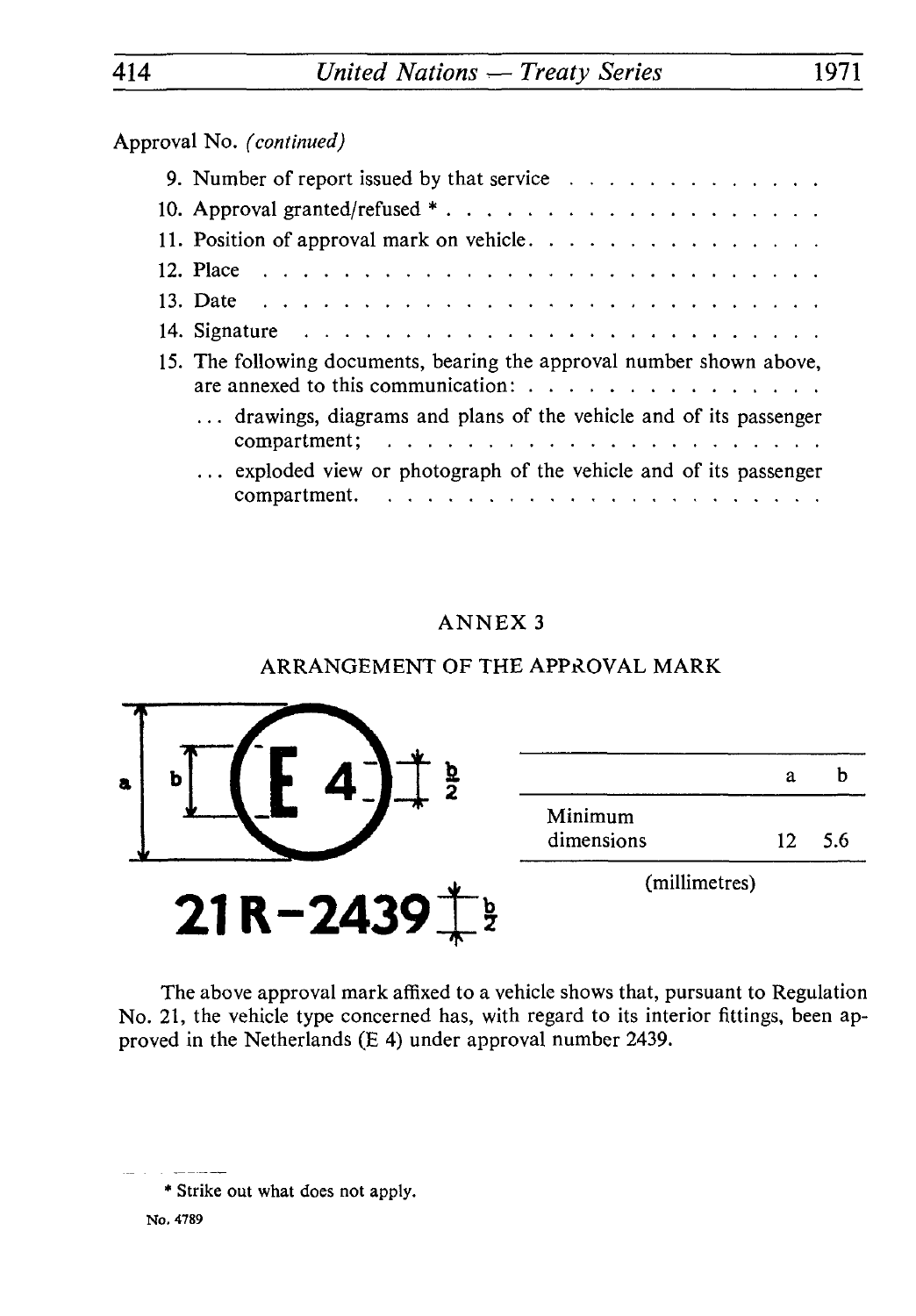Approval No. *(continued)*

| roval No. (continued)                                                                                                                                            |
|------------------------------------------------------------------------------------------------------------------------------------------------------------------|
|                                                                                                                                                                  |
|                                                                                                                                                                  |
| 11. Position of approval mark on vehicle.                                                                                                                        |
|                                                                                                                                                                  |
|                                                                                                                                                                  |
|                                                                                                                                                                  |
| 15. The following documents, bearing the approval number shown above,<br>are annexed to this communication: $\ldots$ , $\ldots$ , $\ldots$ , $\ldots$ , $\ldots$ |
| drawings, diagrams and plans of the vehicle and of its passenger                                                                                                 |
| exploded view or photograph of the vehicle and of its passenger                                                                                                  |
|                                                                                                                                                                  |

# ANNEX 3

# ARRANGEMENT OF THE APPROVAL MARK



The above approval mark affixed to a vehicle shows that, pursuant to Regulation No. 21, the vehicle type concerned has, with regard to its interior fittings, been ap proved in the Netherlands (E 4) under approval number 2439.

<sup>\*</sup> Strike out what does not apply.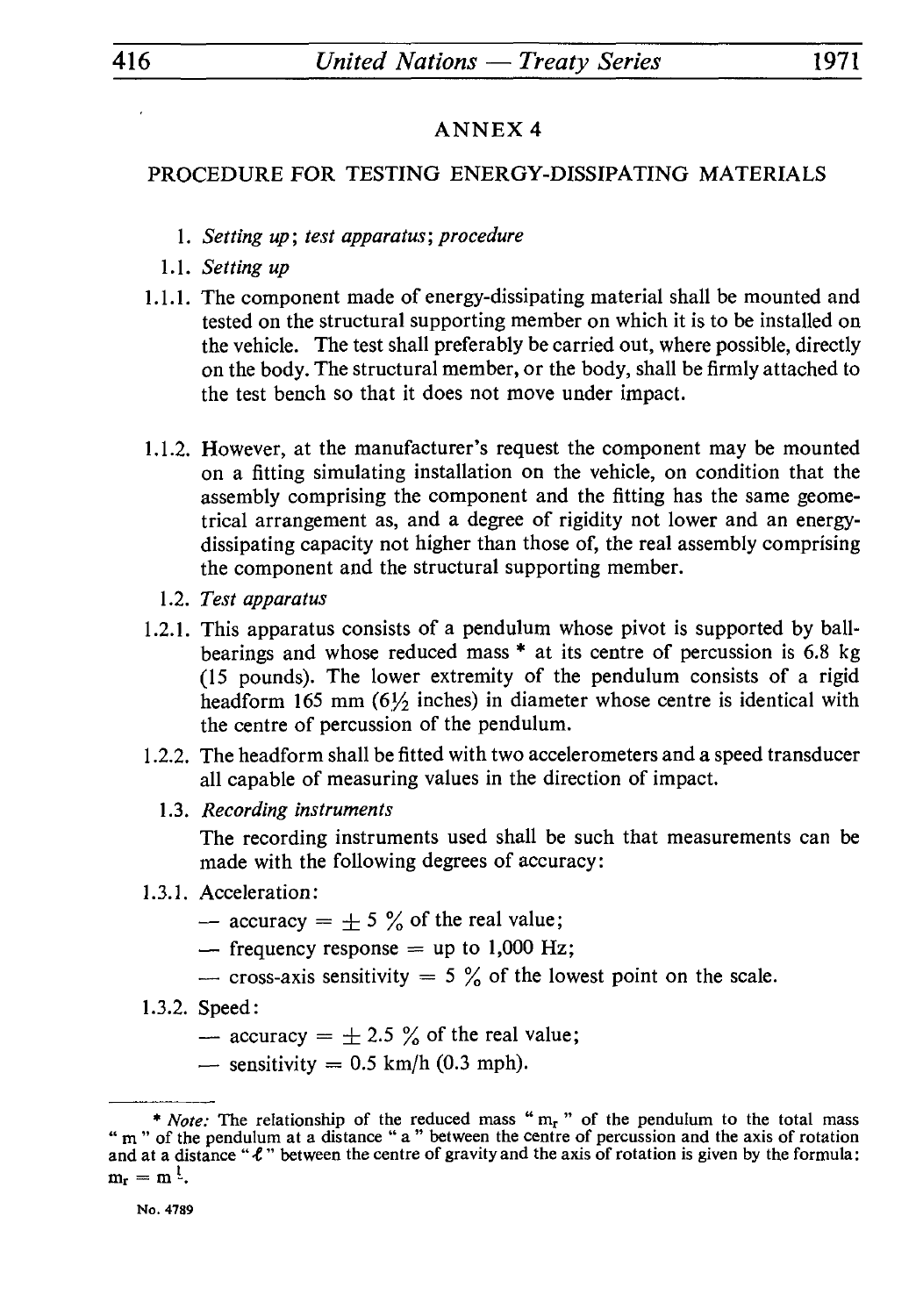#### PROCEDURE FOR TESTING ENERGY-DISSIPATING MATERIALS

- 1. *Setting up; test apparatus; procedure*
- 1.1. *Setting up*
- 1.1.1. The component made of energy-dissipating material shall be mounted and tested on the structural supporting member on which it is to be installed on the vehicle. The test shall preferably be carried out, where possible, directly on the body. The structural member, or the body, shall be firmly attached to the test bench so that it does not move under impact.
- 1.1.2. However, at the manufacturer's request the component may be mounted on a fitting simulating installation on the vehicle, on condition that the assembly comprising the component and the fitting has the same geome trical arrangement as, and a degree of rigidity not lower and an energydissipating capacity not higher than those of, the real assembly comprising the component and the structural supporting member.
	- 1.2. *Test apparatus*
- 1.2.1. This apparatus consists of a pendulum whose pivot is supported by ball bearings and whose reduced mass \* at its centre of percussion is 6.8 kg (15 pounds). The lower extremity of the pendulum consists of a rigid headform 165 mm  $(6\frac{1}{2})$  inches) in diameter whose centre is identical with the centre of percussion of the pendulum.
- 1.2.2. The headform shall be fitted with two accelerometers and a speed transducer all capable of measuring values in the direction of impact.
	- 1.3. *Recording instruments*

The recording instruments used shall be such that measurements can be made with the following degrees of accuracy:

- 1.3.1. Acceleration:
- Acceleration:<br>  $-$  accuracy =  $\pm$  5 % of the real value;  $\text{L}$  accuracy =  $\pm$  5 % of the real value;<br>  $\text{L}$  frequency response = up to 1,000 Hz;
	-
	- frequency response = up to 1,000 Hz;<br>- cross-axis sensitivity = 5 % of the lowest point on the scale.
- 1.3.2. Speed:
- Speed:<br>  $\frac{25}{3}$  accuracy =  $\pm 2.5$  % of the real value;
	- speed:<br>
	 accuracy =  $\pm$  2.5 % of the real  $\pm$  sensitivity = 0.5 km/h (0.3 mph).

<sup>\*</sup> *Note:* The relationship of the reduced mass " mr " of the pendulum to the total mass " m " of the pendulum at a distance " a " between the centre of percussion and the axis of rotation and at a distance " $\ell$ " between the centre of gravity and the axis of rotation is given by the formula:  $m_r = m^l$ .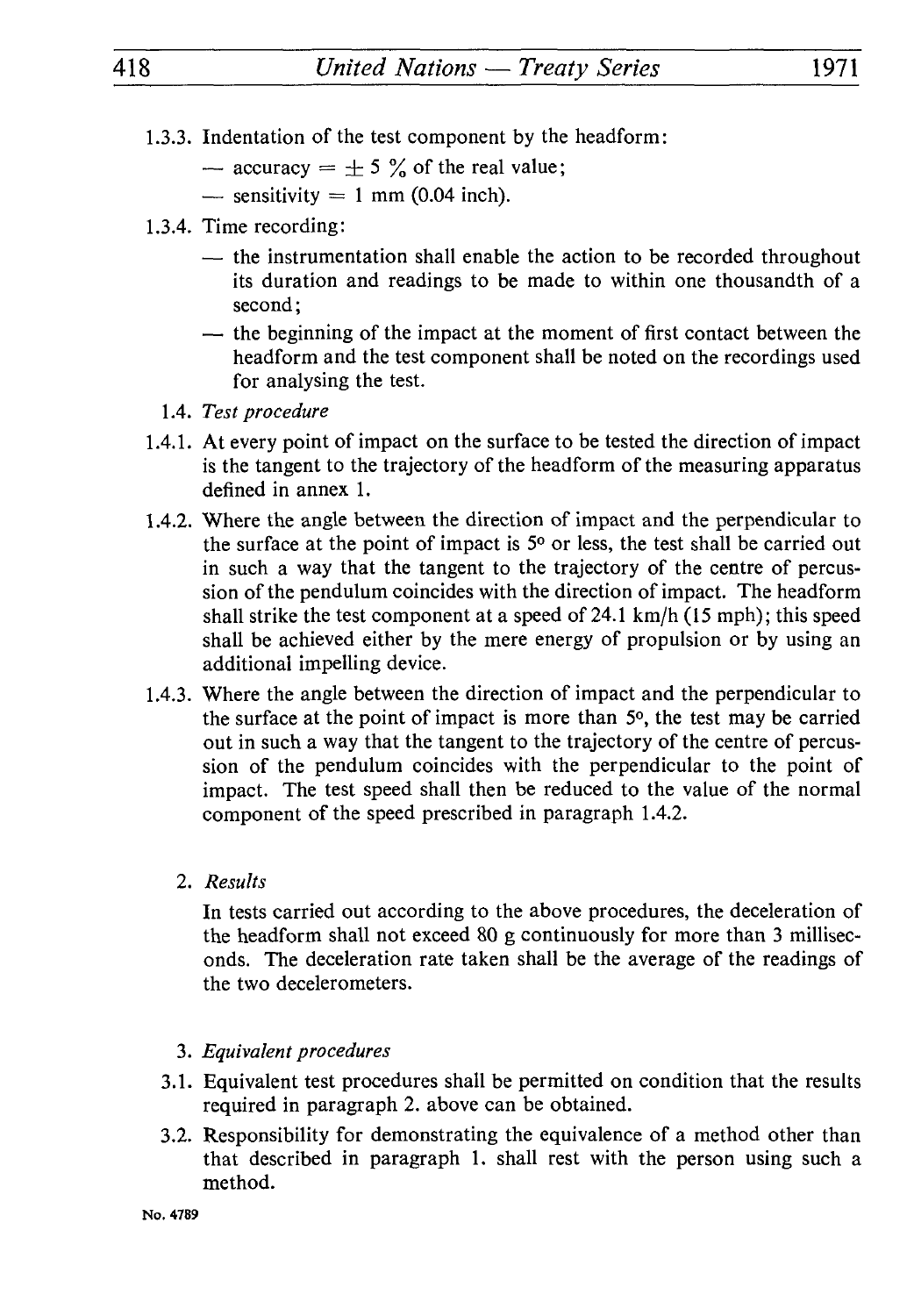- 1.3.3. Indentation of the test component by the headform:
- Indentation of the test component by the<br>
 accuracy =  $\pm$  5 % of the real value;<br>
constitution = 1 mm (0.04 inch) = accuracy =  $\pm$  5 % of the real<br>= sensitivity = 1 mm (0.04 inch).
	-
- 1.3.4. Time recording:
- $t_{\text{time}}$  sensitivity = 1 mm (0.04 inch).<br>Time recording:<br> $-$  the instrumentation shall enable the action to be recorded throughout its duration and readings to be made to within one thousandth of a second ;
	- $\frac{1}{x}$  the beginning of the impact at the moment of first contact between the headform and the test component shall be noted on the recordings used for analysing the test.
	- 1.4. *Test procedure*
- 1.4.1. At every point of impact on the surface to be tested the direction of impact is the tangent to the trajectory of the headform of the measuring apparatus defined in annex 1.
- 1.4.2. Where the angle between the direction of impact and the perpendicular to the surface at the point of impact is  $5<sup>o</sup>$  or less, the test shall be carried out in such a way that the tangent to the trajectory of the centre of percus sion of the pendulum coincides with the direction of impact. The headform shall strike the test component at a speed of 24.1 km/h (15 mph); this speed shall be achieved either by the mere energy of propulsion or by using an additional impelling device.
- 1.4.3. Where the angle between the direction of impact and the perpendicular to the surface at the point of impact is more than  $5<sup>o</sup>$ , the test may be carried out in such a way that the tangent to the trajectory of the centre of percus sion of the pendulum coincides with the perpendicular to the point of impact. The test speed shall then be reduced to the value of the normal component of the speed prescribed in paragraph 1.4.2.
	- 2. *Results*

In tests carried out according to the above procedures, the deceleration of the headform shall not exceed 80 g continuously for more than 3 millisec onds. The deceleration rate taken shall be the average of the readings of the two decelerometers.

- 3. *Equivalent procedures*
- 3.1. Equivalent test procedures shall be permitted on condition that the results required in paragraph 2. above can be obtained.
- 3.2. Responsibility for demonstrating the equivalence of a method other than that described in paragraph 1. shall rest with the person using such a method.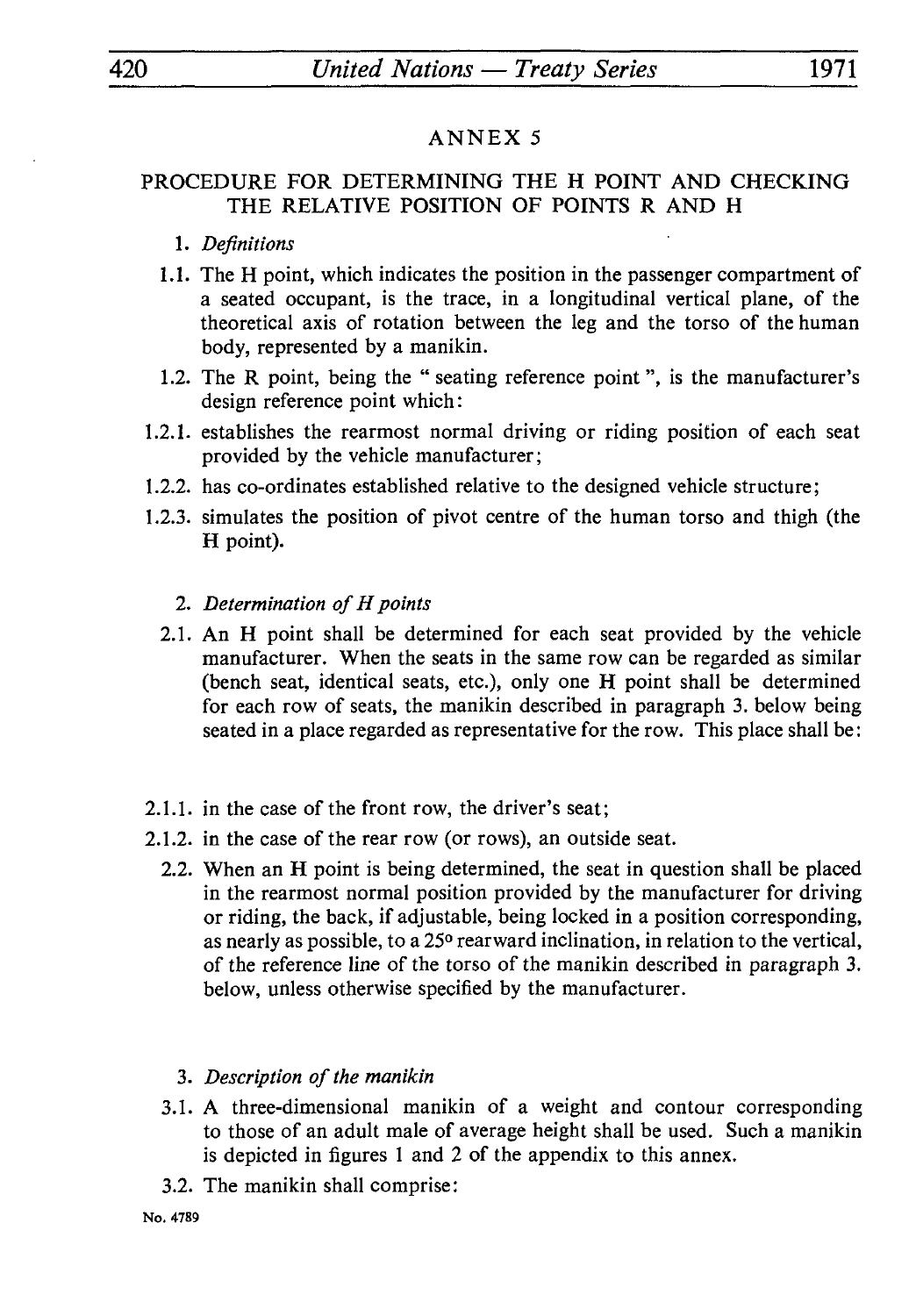#### PROCEDURE FOR DETERMINING THE H POINT AND CHECKING THE RELATIVE POSITION OF POINTS R AND H

- 1. *Definitions*
- 1.1. The H point, which indicates the position in the passenger compartment of a seated occupant, is the trace, in a longitudinal vertical plane, of the theoretical axis of rotation between the leg and the torso of the human body, represented by a manikin.
- 1.2. The R point, being the " seating reference point ", is the manufacturer's design reference point which:
- 1.2.1. establishes the rearmost normal driving or riding position of each seat provided by the vehicle manufacturer;
- 1.2.2. has co-ordinates established relative to the designed vehicle structure;
- 1.2.3. simulates the position of pivot centre of the human torso and thigh (the H point).
	- 2. *Determination of H points*
	- 2.1. An H point shall be determined for each seat provided by the vehicle manufacturer. When the seats in the same row can be regarded as similar (bench seat, identical seats, etc.), only one H point shall be determined for each row of seats, the manikin described in paragraph 3. below being seated in a place regarded as representative for the row. This place shall be:
- 2.1.1. in the case of the front row, the driver's seat;
- 2.1.2. in the case of the rear row (or rows), an outside seat.
	- 2.2. When an H point is being determined, the seat in question shall be placed in the rearmost normal position provided by the manufacturer for driving or riding, the back, if adjustable, being locked in a position corresponding, as nearly as possible, to a 25<sup>°</sup> rearward inclination, in relation to the vertical, of the reference line of the torso of the manikin described in paragraph 3. below, unless otherwise specified by the manufacturer.
		- 3. *Description of the manikin*
	- 3.1. A three-dimensional manikin of a weight and contour corresponding to those of an adult male of average height shall be used. Such a manikin is depicted in figures 1 and 2 of the appendix to this annex.
	- 3.2. The manikin shall comprise: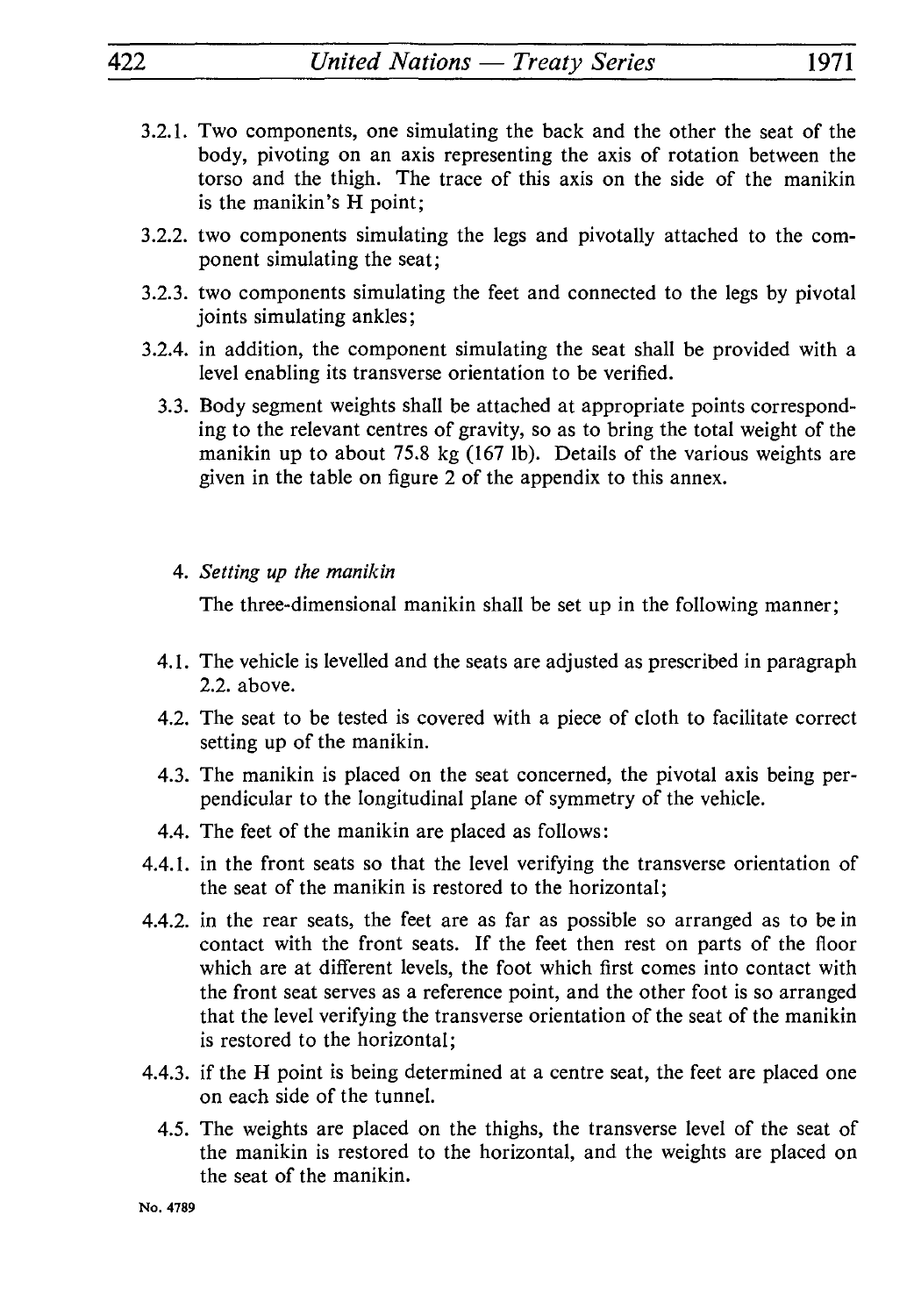- 3.2.1. Two components, one simulating the back and the other the seat of the body, pivoting on an axis representing the axis of rotation between the torso and the thigh. The trace of this axis on the side of the manikin is the manikin's H point;
- 3.2.2. two components simulating the legs and pivotally attached to the com ponent simulating the seat;
- 3.2.3. two components simulating the feet and connected to the legs by pivotal joints simulating ankles;
- 3.2.4. in addition, the component simulating the seat shall be provided with a level enabling its transverse orientation to be verified.
	- 3.3. Body segment weights shall be attached at appropriate points correspond ing to the relevant centres of gravity, so as to bring the total weight of the manikin up to about 75.8 kg (167 Ib). Details of the various weights are given in the table on figure 2 of the appendix to this annex.
		- 4. *Setting up the manikin*

The three-dimensional manikin shall be set up in the following manner;

- 4.1. The vehicle is levelled and the seats are adjusted as prescribed in paragraph 2.2. above.
- 4.2. The seat to be tested is covered with a piece of cloth to facilitate correct setting up of the manikin.
- 4.3. The manikin is placed on the seat concerned, the pivotal axis being per pendicular to the longitudinal plane of symmetry of the vehicle.
- 4.4. The feet of the manikin are placed as follows :
- 4.4.1. in the front seats so that the level verifying the transverse orientation of the seat of the manikin is restored to the horizontal;
- 4.4.2. in the rear seats, the feet are as far as possible so arranged as to be in contact with the front seats. If the feet then rest on parts of the floor which are at different levels, the foot which first comes into contact with the front seat serves as a reference point, and the other foot is so arranged that the level verifying the transverse orientation of the seat of the manikin is restored to the horizontal;
- 4.4.3. if the H point is being determined at a centre seat, the feet are placed one on each side of the tunnel.
	- 4.5. The weights are placed on the thighs, the transverse level of the seat of the manikin is restored to the horizontal, and the weights are placed on the seat of the manikin.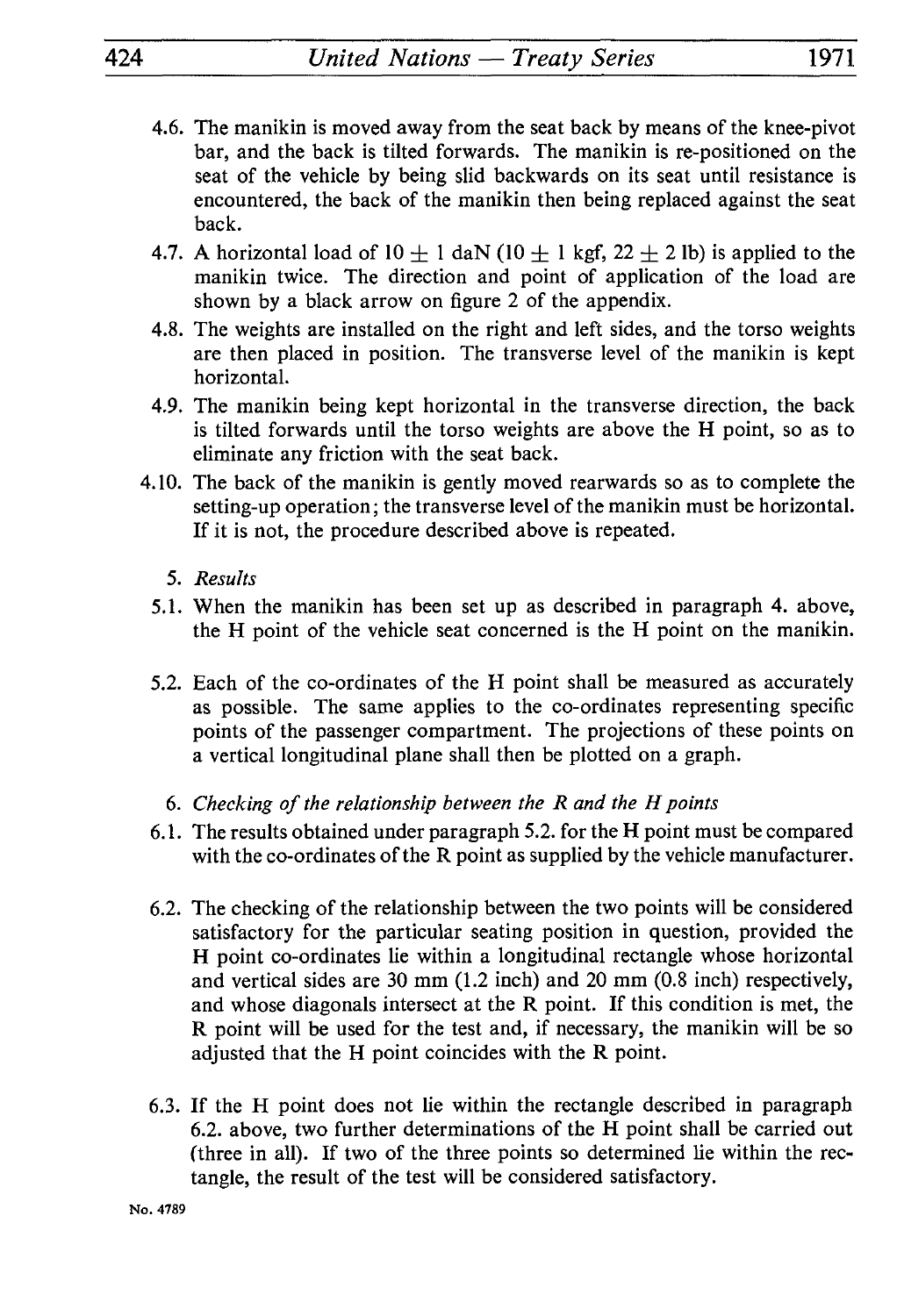- 4.6. The manikin is moved away from the seat back by means of the knee-pivot bar, and the back is tilted forwards. The manikin is re-positioned on the seat of the vehicle by being slid backwards on its seat until resistance is encountered, the back of the manikin then being replaced against the seat back.
- 4.7. A horizontal load of  $10 \pm 1$  daN ( $10 \pm 1$  kgf,  $22 \pm 2$  lb) is applied to the manikin twice. The direction and point of application of the load are shown by a black arrow on figure 2 of the appendix.
- 4.8. The weights are installed on the right and left sides, and the torso weights are then placed in position. The transverse level of the manikin is kept horizontal.
- 4.9. The manikin being kept horizontal in the transverse direction, the back is tilted forwards until the torso weights are above the H point, so as to eliminate any friction with the seat back.
- 4.10. The back of the manikin is gently moved rearwards so as to complete the setting-up operation; the transverse level of the manikin must be horizontal. If it is not, the procedure described above is repeated.
	- 5. *Results*
	- 5.1. When the manikin has been set up as described in paragraph 4. above, the H point of the vehicle seat concerned is the H point on the manikin.
	- 5.2. Each of the co-ordinates of the H point shall be measured as accurately as possible. The same applies to the co-ordinates representing specific points of the passenger compartment. The projections of these points on a vertical longitudinal plane shall then be plotted on a graph.
		- 6. *Checking of the relationship between the R and the H points*
	- *6.* 1. The results obtained under paragraph 5.2. for the H point must be compared with the co-ordinates of the R point as supplied by the vehicle manufacturer.
	- 6.2. The checking of the relationship between the two points will be considered satisfactory for the particular seating position in question, provided the H point co-ordinates lie within a longitudinal rectangle whose horizontal and vertical sides are 30 mm (1.2 inch) and 20 mm (0.8 inch) respectively, and whose diagonals intersect at the R point. If this condition is met, the R point will be used for the test and, if necessary, the manikin will be so adjusted that the H point coincides with the R point.
	- 6.3. If the H point does not lie within the rectangle described in paragraph 6.2. above, two further determinations of the H point shall be carried out (three in all). If two of the three points so determined lie within the rec tangle, the result of the test will be considered satisfactory.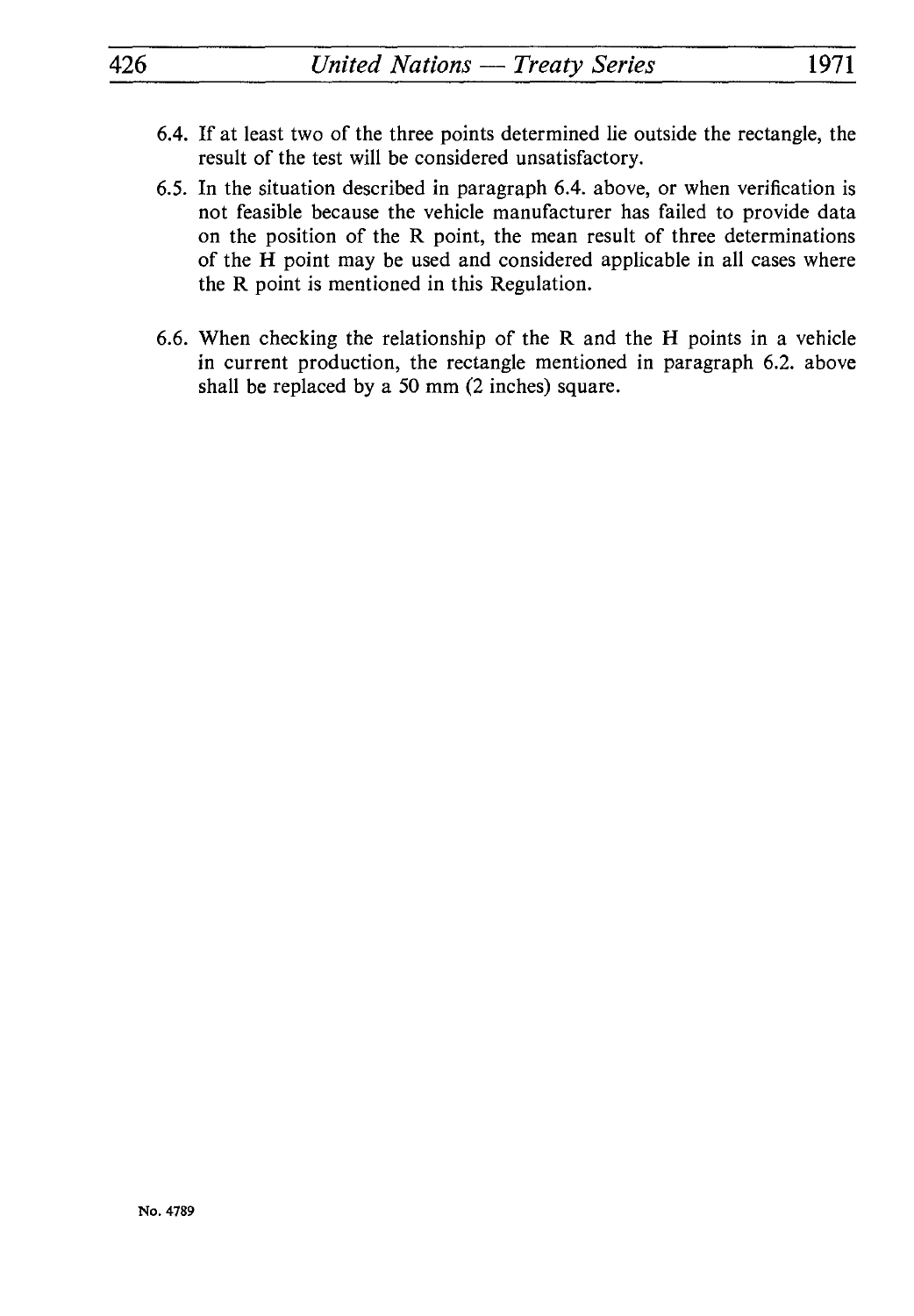- 6.4. If at least two of the three points determined lie outside the rectangle, the result of the test will be considered unsatisfactory.
- 6.5. In the situation described in paragraph 6.4. above, or when verification is not feasible because the vehicle manufacturer has failed to provide data on the position of the R point, the mean result of three determinations of the H point may be used and considered applicable in all cases where the R point is mentioned in this Regulation.
- 6.6. When checking the relationship of the R and the H points in a vehicle in current production, the rectangle mentioned in paragraph 6.2. above shall be replaced by a 50 mm (2 inches) square.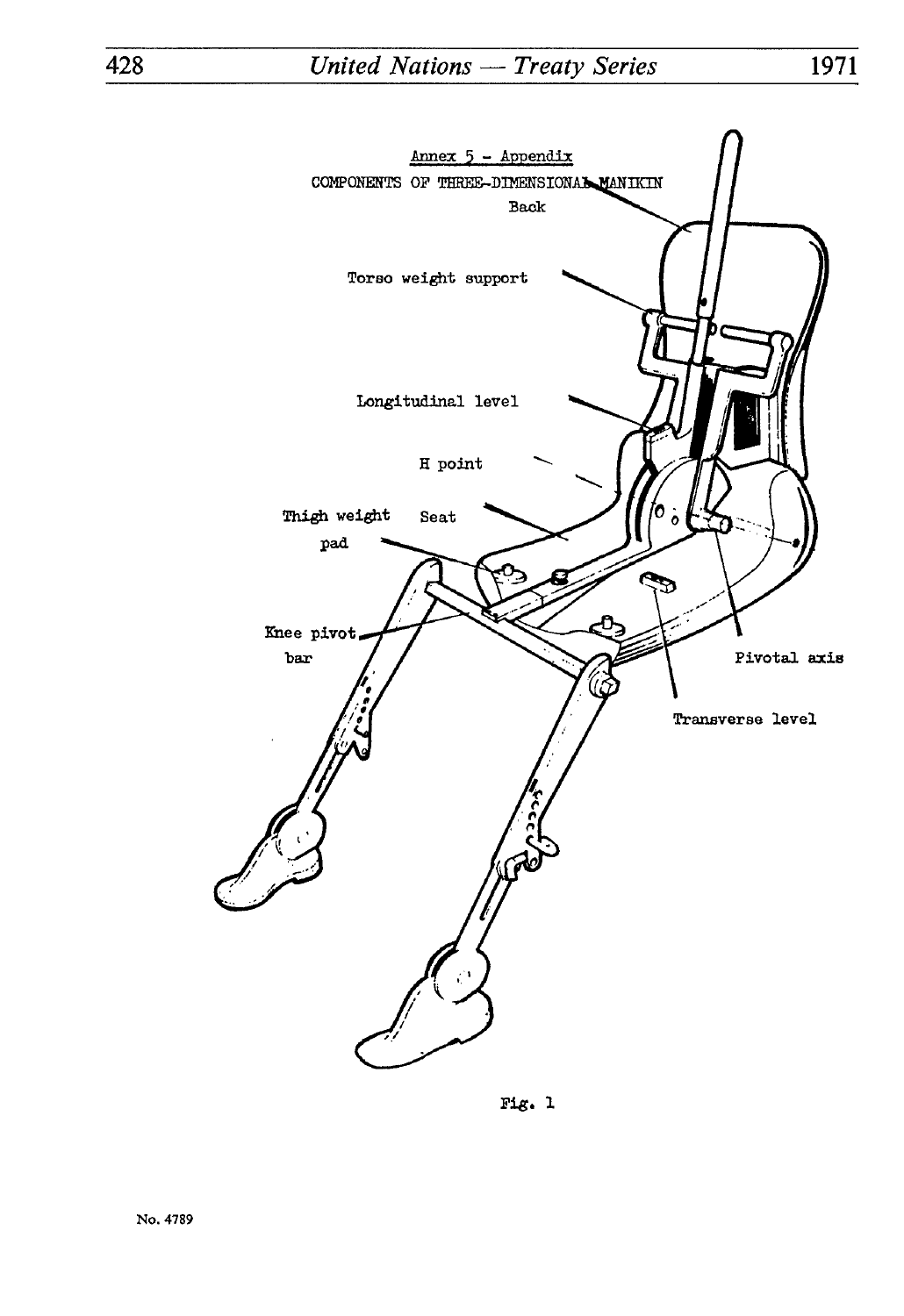

Fig. 1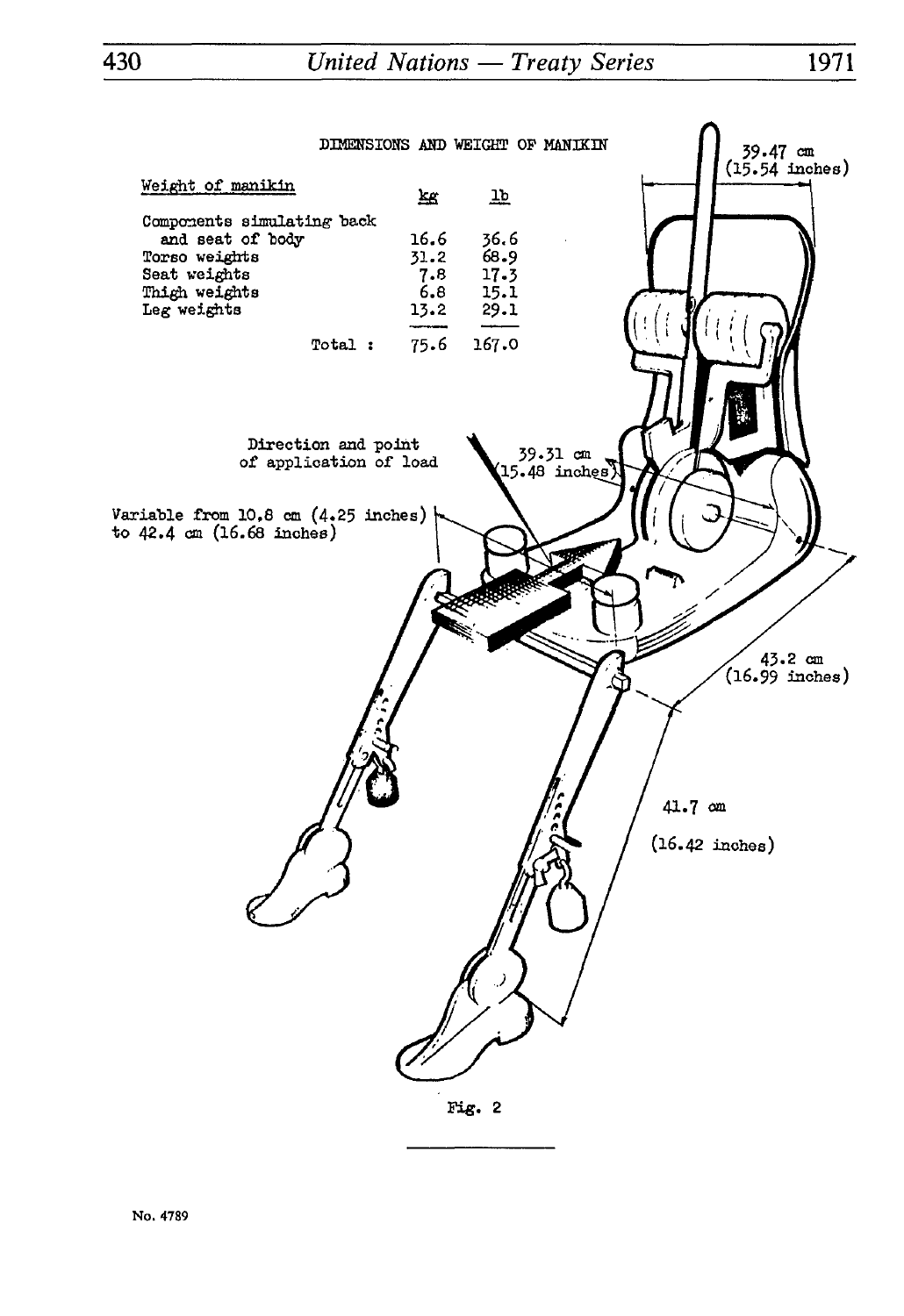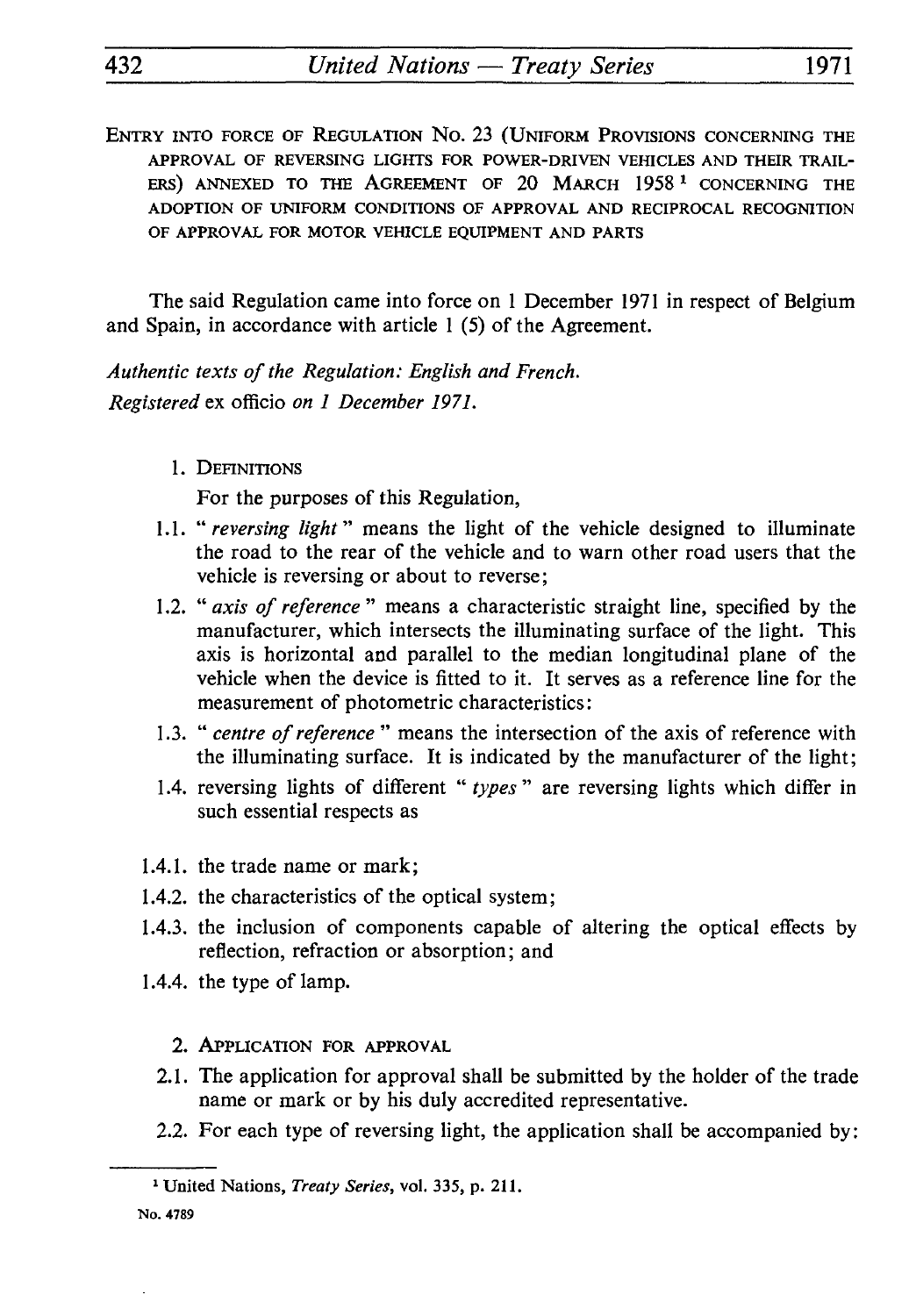ENTRY INTO FORCE OF REGULATION No. 23 (UNIFORM PROVISIONS CONCERNING THE **APPROVAL OF REVERSING LIGHTS FOR POWER-DRIVEN VEHICLES AND THEIR TRAIL ERS) ANNEXED TO THE AGREEMENT OF 20 MARCH 1958 1 CONCERNING THE ADOPTION OF UNIFORM CONDITIONS OF APPROVAL AND RECIPROCAL RECOGNITION OF APPROVAL FOR MOTOR VEHICLE EQUIPMENT AND PARTS**

The said Regulation came into force on 1 December 1971 in respect of Belgium and Spain, in accordance with article 1 (5) of the Agreement.

*Authentic texts of the Regulation: English and French. Registered* ex officio *on 1 December 1971.*

1. DEFINITIONS

For the purposes of this Regulation,

- 1.1. *"reversing light"* means the light of the vehicle designed to illuminate the road to the rear of the vehicle and to warn other road users that the vehicle is reversing or about to reverse;
- 1.2. *"axis of reference"* means a characteristic straight line, specified by the manufacturer, which intersects the illuminating surface of the light. This axis is horizontal and parallel to the median longitudinal plane of the vehicle when the device is fitted to it. It serves as a reference line for the measurement of photometric characteristics:
- 1.3. " *centre of reference* " means the intersection of the axis of reference with the illuminating surface. It is indicated by the manufacturer of the light;
- 1.4. reversing lights of different " *types"* are reversing lights which differ in such essential respects as
- 1.4.1. the trade name or mark;
- 1.4.2. the characteristics of the optical system;
- 1.4.3. the inclusion of components capable of altering the optical effects by reflection, refraction or absorption ; and
- 1.4.4. the type of lamp.
	- 2. APPLICATION FOR APPROVAL
	- 2.1. The application for approval shall be submitted by the holder of the trade name or mark or by his duly accredited representative.
	- 2.2. For each type of reversing light, the application shall be accompanied by :

<sup>1</sup> United Nations, *Treaty Series,* vol. 335, p. 211.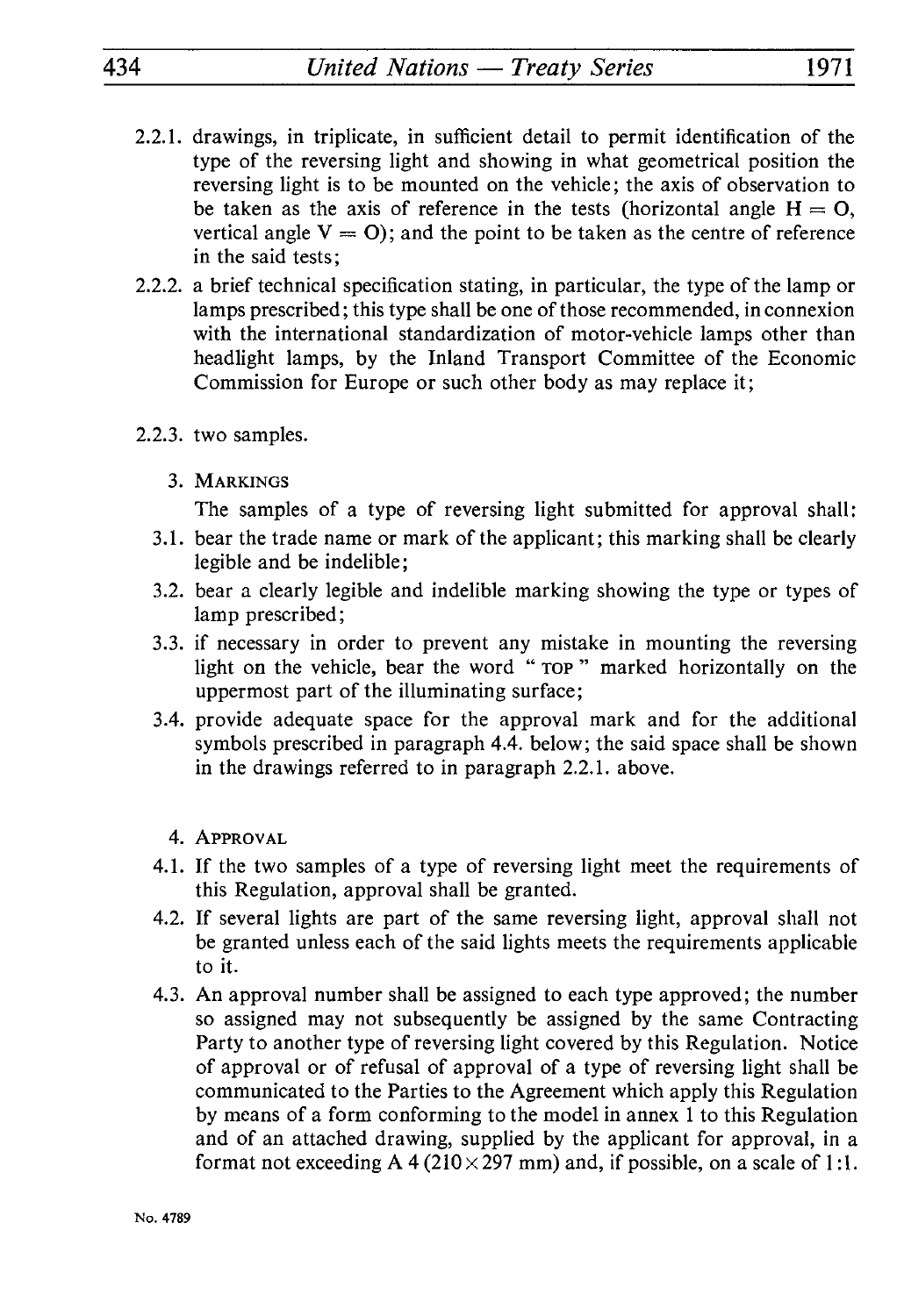- 2.2.1. drawings, in triplicate, in sufficient detail to permit identification of the type of the reversing light and showing in what geometrical position the reversing light is to be mounted on the vehicle; the axis of observation to be taken as the axis of reference in the tests (horizontal angle  $H = 0$ , vertical angle  $V = 0$ ; and the point to be taken as the centre of reference in the said tests;
- 2.2.2. a brief technical specification stating, in particular, the type of the lamp or lamps prescribed; this type shall be one of those recommended, in connexion with the international standardization of motor-vehicle lamps other than headlight lamps, by the Inland Transport Committee of the Economic Commission for Europe or such other body as may replace it ;
- 2.2.3. two samples.
	- 3. MARKINGS

The samples of a type of reversing light submitted for approval shall:

- 3.1. bear the trade name or mark of the applicant; this marking shall be clearly legible and be indelible;
- 3.2. bear a clearly legible and indelible marking showing the type or types of lamp prescribed;
- 3.3. if necessary in order to prevent any mistake in mounting the reversing light on the vehicle, bear the word " TOP " marked horizontally on the uppermost part of the illuminating surface;
- 3.4. provide adequate space for the approval mark and for the additional symbols prescribed in paragraph 4.4. below; the said space shall be shown in the drawings referred to in paragraph 2.2.1. above.
	- 4. APPROVAL
- 4.1. If the two samples of a type of reversing light meet the requirements of this Regulation, approval shall be granted.
- 4.2. If several lights are part of the same reversing light, approval shall not be granted unless each of the said lights meets the requirements applicable to it.
- 4.3. An approval number shall be assigned to each type approved; the number so assigned may not subsequently be assigned by the same Contracting Party to another type of reversing light covered by this Regulation. Notice of approval or of refusal of approval of a type of reversing light shall be communicated to the Parties to the Agreement which apply this Regulation by means of a form conforming to the model in annex 1 to this Regulation and of an attached drawing, supplied by the applicant for approval, in a format not exceeding A 4 ( $210 \times 297$  mm) and, if possible, on a scale of 1:1.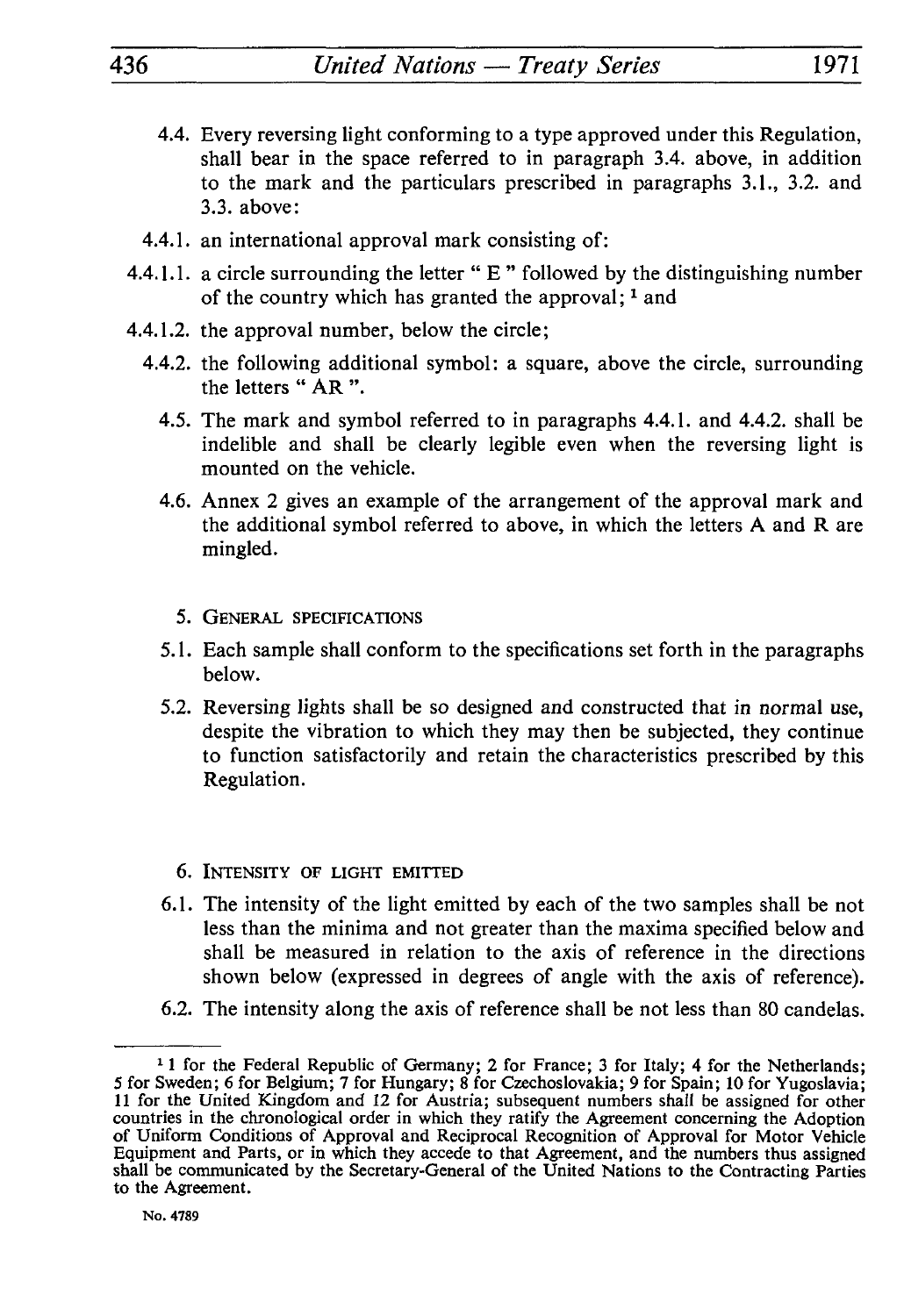- 4.4. Every reversing light conforming to a type approved under this Regulation, shall bear in the space referred to in paragraph 3.4. above, in addition to the mark and the particulars prescribed in paragraphs 3.1., 3.2. and 3.3. above:
- 4.4.1. an international approval mark consisting of:
- 4.4.1.1. a circle surrounding the letter " $E$ " followed by the distinguishing number of the country which has granted the approval;  $<sup>1</sup>$  and</sup>
- 4.4.1.2. the approval number, below the circle;
	- 4.4.2. the following additional symbol: a square, above the circle, surrounding the letters " AR ".
		- 4.5. The mark and symbol referred to in paragraphs 4.4.1. and 4.4.2. shall be indelible and shall be clearly legible even when the reversing light is mounted on the vehicle.
		- 4.6. Annex 2 gives an example of the arrangement of the approval mark and the additional symbol referred to above, in which the letters A and R are mingled.
			- 5. GENERAL SPECIFICATIONS
		- 5.1. Each sample shall conform to the specifications set forth in the paragraphs below.
		- 5.2. Reversing lights shall be so designed and constructed that in normal use, despite the vibration to which they may then be subjected, they continue to function satisfactorily and retain the characteristics prescribed by this Regulation.
			- 6. INTENSITY OF LIGHT EMITTED
		- 6.1. The intensity of the light emitted by each of the two samples shall be not less than the minima and not greater than the maxima specified below and shall be measured in relation to the axis of reference in the directions shown below (expressed in degrees of angle with the axis of reference).
		- 6.2. The intensity along the axis of reference shall be not less than 80 candelas.

<sup>&</sup>lt;sup>1</sup> 1 for the Federal Republic of Germany; 2 for France; 3 for Italy; 4 for the Netherlands; 5 for Sweden; 6 for Belgium; 7 for Hungary; 8 for Czechoslovakia; 9 for Spain; 10 for Yugoslavia; 11 for the United Kingdom and 12 for Austria; subsequent numbers shall be assigned for other countries in the chronological order in which they ratify the Agreement concerning the Adoption of Uniform Conditions of Approval and Reciprocal Recognition of Approval for Motor Vehicle Equipment and Parts, or in which they accede to that Agreement, and the numbers thus assigned shall be communicated by the Secretary-General of the United Nations to the Contracting Parties to the Agreement.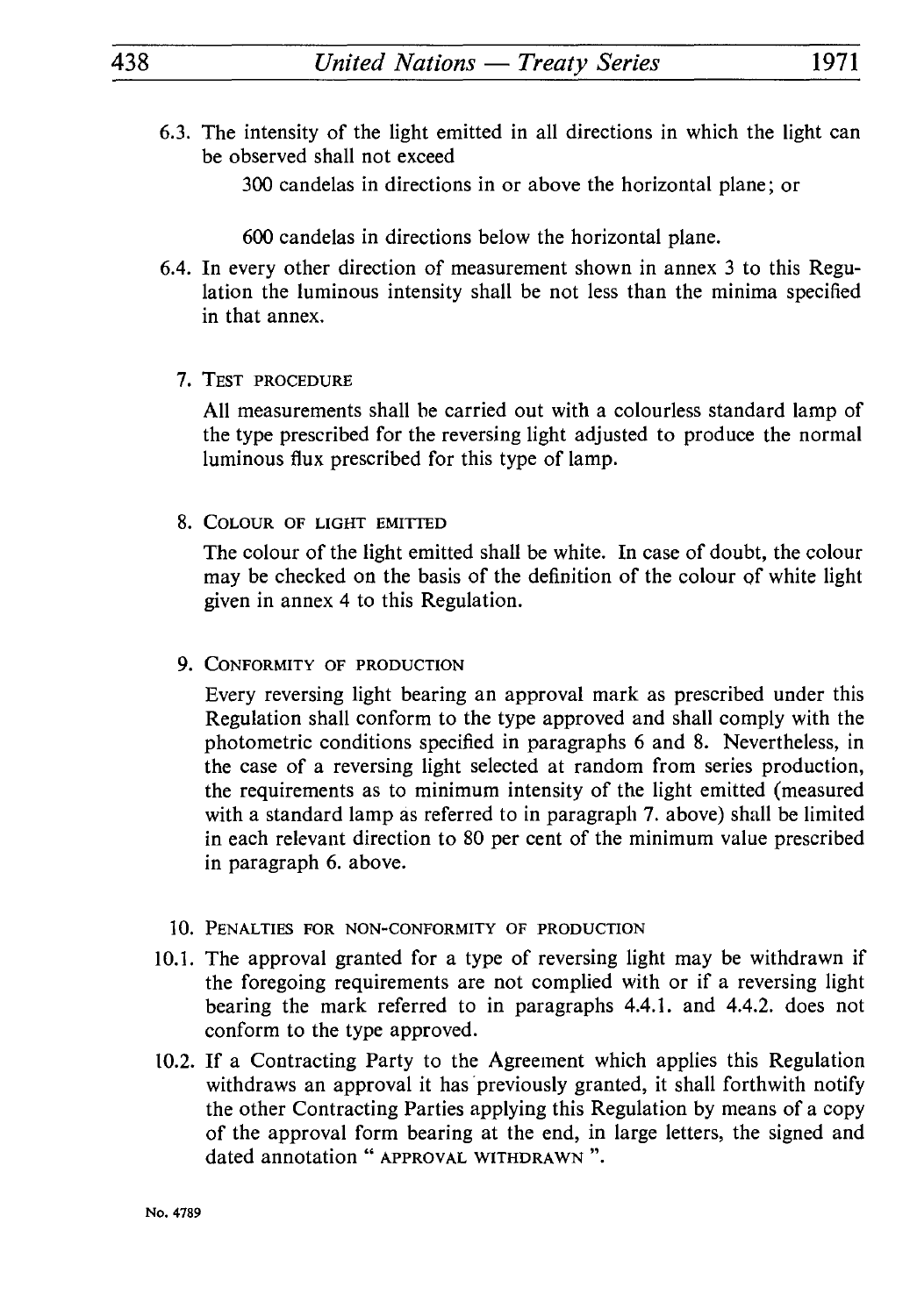6.3. The intensity of the light emitted in all directions in which the light can be observed shall not exceed

300 candelas in directions in or above the horizontal plane; or

600 candelas in directions below the horizontal plane.

- 6.4. In every other direction of measurement shown in annex 3 to this Regu lation the luminous intensity shall be not less than the minima specified in that annex.
	- 7. TEST PROCEDURE

All measurements shall be carried out with a colourless standard lamp of the type prescribed for the reversing light adjusted to produce the normal luminous flux prescribed for this type of lamp.

8. COLOUR OF LIGHT EMITTED

The colour of the light emitted shall be white. In case of doubt, the colour may be checked on the basis of the definition of the colour of white light given in annex 4 to this Regulation.

9. CONFORMITY OF PRODUCTION

Every reversing light bearing an approval mark as prescribed under this Regulation shall conform to the type approved and shall comply with the photometric conditions specified in paragraphs 6 and 8. Nevertheless, in the case of a reversing light selected at random from series production, the requirements as to minimum intensity of the light emitted (measured with a standard lamp as referred to in paragraph 7. above) shall be limited in each relevant direction to 80 per cent of the minimum value prescribed in paragraph 6. above.

- 10. PENALTIES FOR NON-CONFORMITY OF PRODUCTION
- 10.1. The approval granted for a type of reversing light may be withdrawn if the foregoing requirements are not complied with or if a reversing light bearing the mark referred to in paragraphs 4.4.1. and 4.4.2. does not conform to the type approved.
- 10.2. If a Contracting Party to the Agreement which applies this Regulation withdraws an approval it has previously granted, it shall forthwith notify the other Contracting Parties applying this Regulation by means of a copy of the approval form bearing at the end, in large letters, the signed and dated annotation " APPROVAL WITHDRAWN ".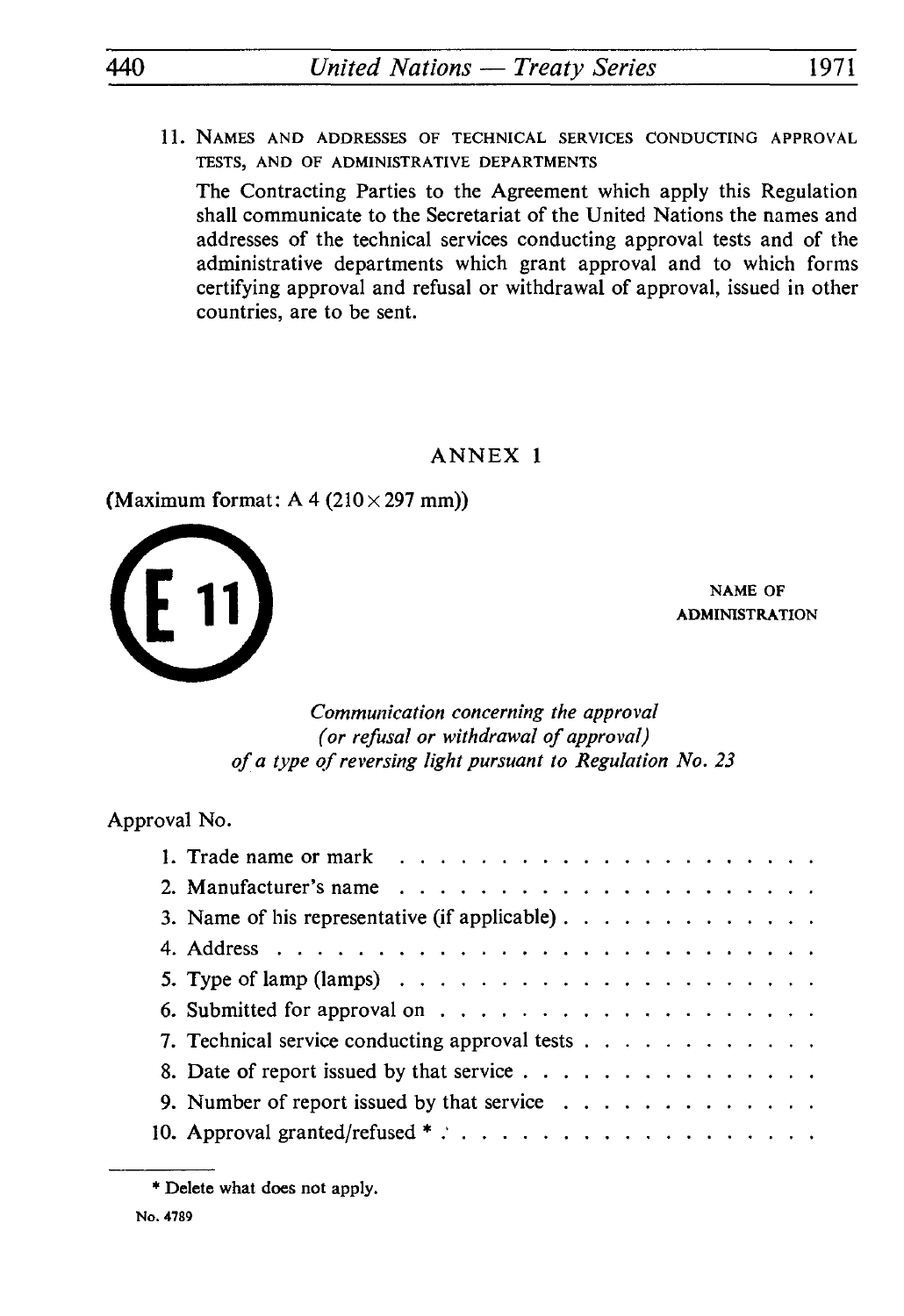11. NAMES AND ADDRESSES OF TECHNICAL SERVICES CONDUCTING APPROVAL TESTS, AND OF ADMINISTRATIVE DEPARTMENTS

The Contracting Parties to the Agreement which apply this Regulation shall communicate to the Secretariat of the United Nations the names and addresses of the technical services conducting approval tests and of the administrative departments which grant approval and to which forms certifying approval and refusal or withdrawal of approval, issued in other countries, are to be sent.

## ANNEX 1

(Maximum format:  $A$  4 (210 $\times$  297 mm))



NAME OF ADMINISTRATION

#### *Communication concerning the approval (or refusal or withdrawal of approval) of a type of reversing light pursuant to Regulation No. 23*

Approval No.

| oval No.                                                                                        |  |
|-------------------------------------------------------------------------------------------------|--|
|                                                                                                 |  |
|                                                                                                 |  |
| 3. Name of his representative (if applicable)                                                   |  |
|                                                                                                 |  |
| 5. Type of lamp (lamps) $\ldots$ $\ldots$ $\ldots$ $\ldots$ $\ldots$ $\ldots$ $\ldots$ $\ldots$ |  |
|                                                                                                 |  |
| 7. Technical service conducting approval tests                                                  |  |
|                                                                                                 |  |
| 9. Number of report issued by that service $\ldots$                                             |  |
|                                                                                                 |  |
|                                                                                                 |  |

<sup>\*</sup> Delete what does not apply.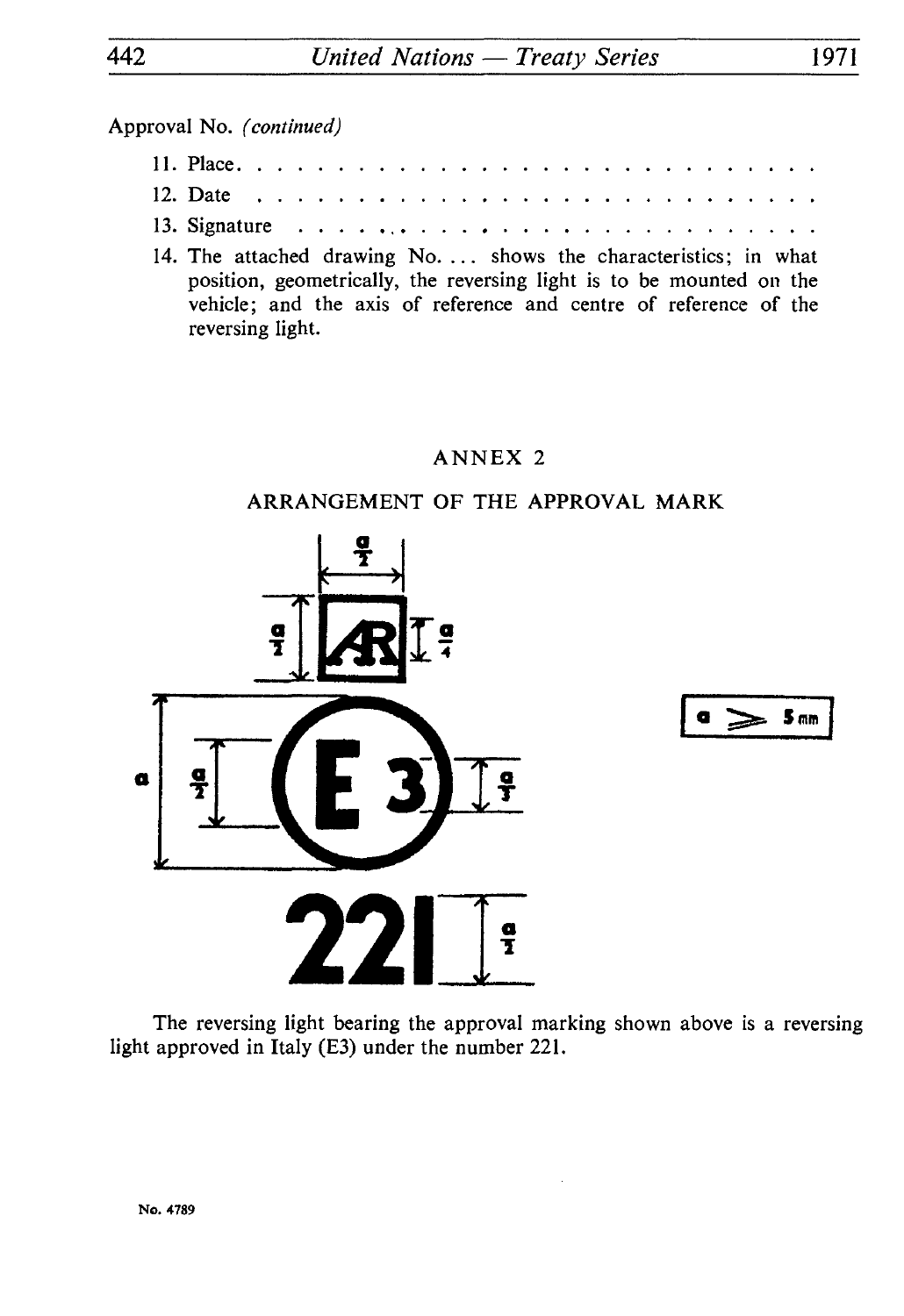|  | Approval No. <i>(continued)</i>                                                         |  |  |  |  |  |  |  |  |  |  |  |  |  |  |
|--|-----------------------------------------------------------------------------------------|--|--|--|--|--|--|--|--|--|--|--|--|--|--|
|  |                                                                                         |  |  |  |  |  |  |  |  |  |  |  |  |  |  |
|  | 12. Date $\ldots \ldots \ldots \ldots \ldots \ldots \ldots \ldots \ldots \ldots \ldots$ |  |  |  |  |  |  |  |  |  |  |  |  |  |  |
|  | 13. Signature $\ldots \ldots \ldots \ldots \ldots \ldots \ldots \ldots$                 |  |  |  |  |  |  |  |  |  |  |  |  |  |  |
|  |                                                                                         |  |  |  |  |  |  |  |  |  |  |  |  |  |  |

14. The attached drawing No. ... shows the characteristics; in what position, geometrically, the reversing light is to be mounted on the vehicle; and the axis of reference and centre of reference of the reversing light.

# ANNEX 2

# ARRANGEMENT OF THE APPROVAL MARK





The reversing light bearing the approval marking shown above is a reversing light approved in Italy (E3) under the number 221.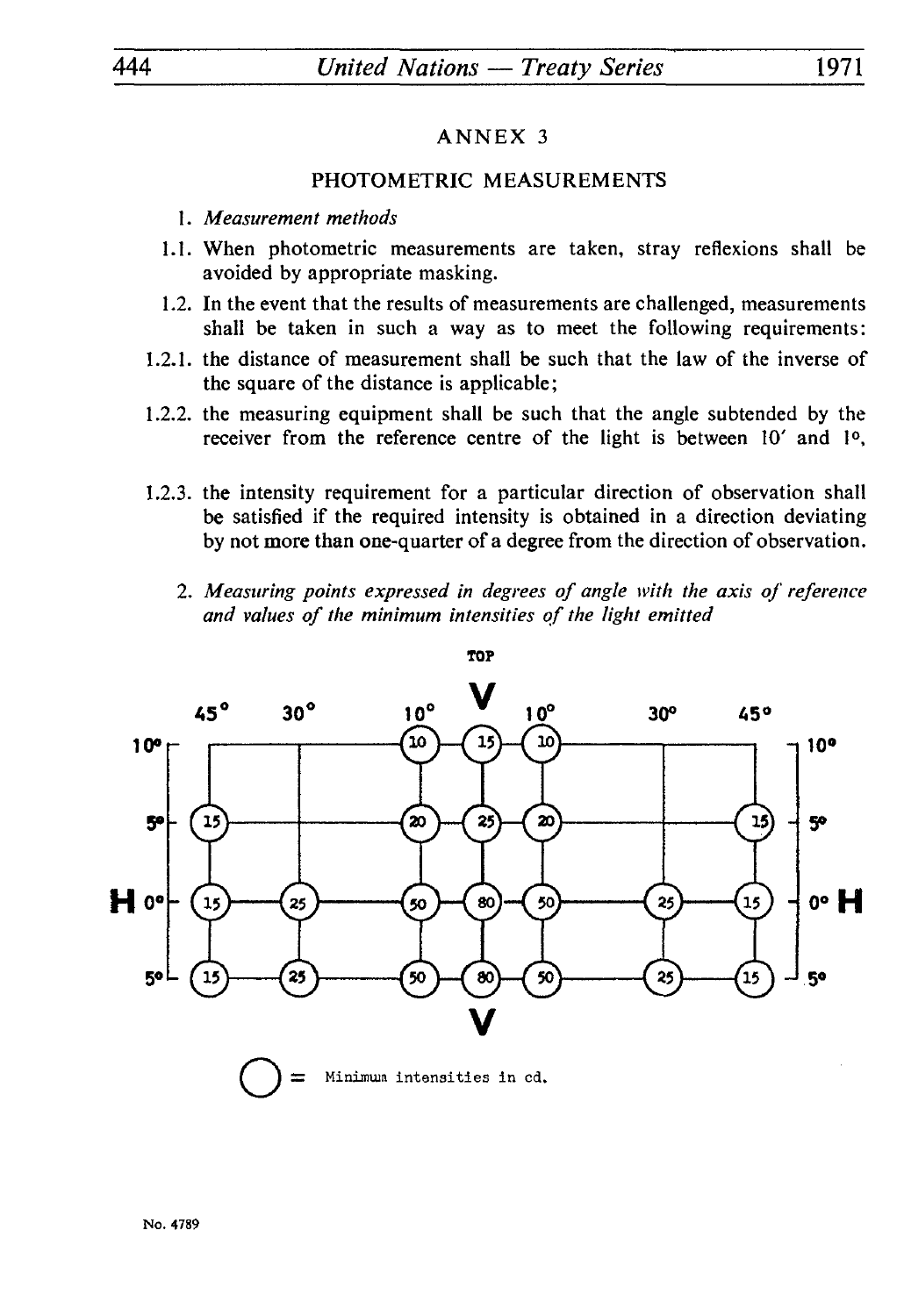# PHOTOMETRIC MEASUREMENTS

- 1. *Measurement methods*
- 1.1. When photometric measurements are taken, stray reflexions shall be avoided by appropriate masking.
- 1.2. In the event that the results of measurements are challenged, measurements shall be taken in such a way as to meet the following requirements:
- 1.2.1. the distance of measurement shall be such that the law of the inverse of the square of the distance is applicable;
- 1.2.2. the measuring equipment shall be such that the angle subtended by the receiver from the reference centre of the light is between 10' and 1<sup>o</sup>,
- 1.2.3. the intensity requirement for a particular direction of observation shall be satisfied if the required intensity is obtained in a direction deviating by not more than one-quarter of a degree from the direction of observation.
	- 2. *Measuring points expressed in degrees of angle with the axis of reference and values of the minimum intensities of the light emitted*